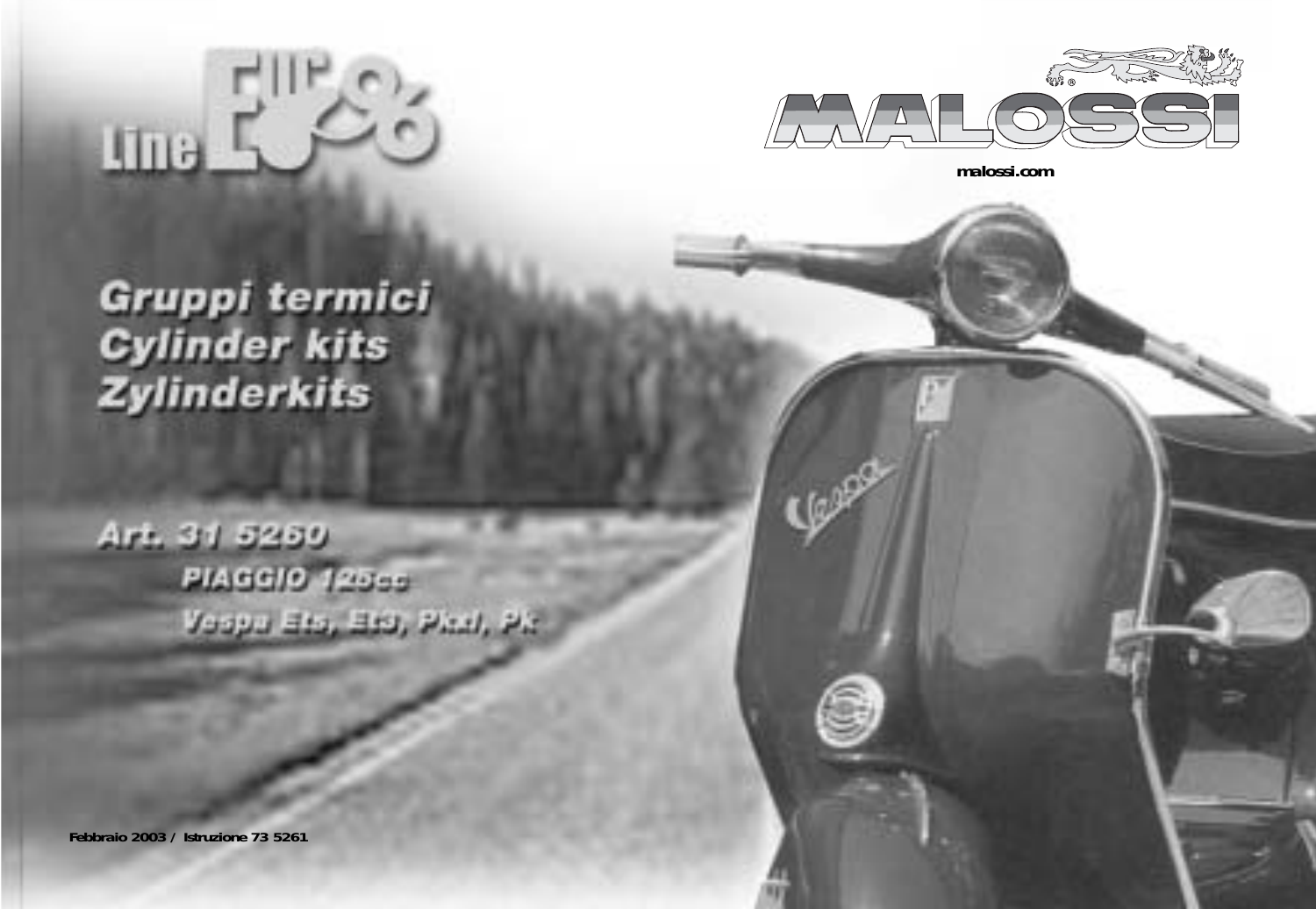



**malossi.com**

# Gruppi termici **Cylinder kits** Zylinderkits

Art. 31 5250 **PIAGGIO 125cc** Veeps Big, Big, Phil, Ph.

**Febbraio 2003 / Istruzione 73 5261**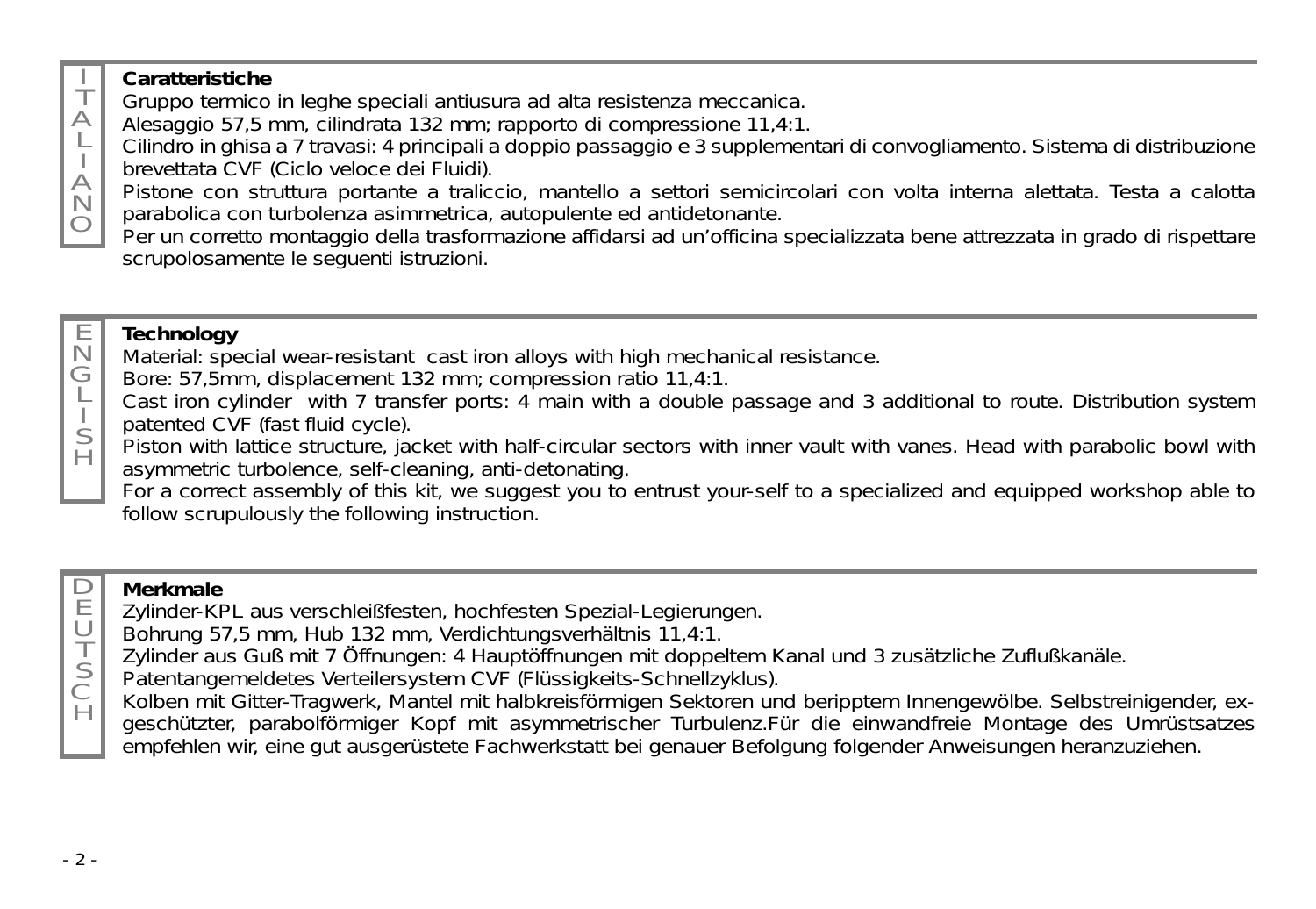### **Caratteristiche**

T  $\triangle$ L  $\forall$ N  $\circ$ 

G L S  $\overline{H}$ 

 $\Box$ E U

 $\overline{H}$ 

Gruppo termico in leghe speciali antiusura ad alta resistenza meccanica.

Alesaggio 57,5 mm, cilindrata 132 mm; rapporto di compressione 11,4:1.

Cilindro in ghisa a 7 travasi: 4 principali a doppio passaggio e 3 supplementari di convogliamento. Sistema di distribuzione brevettata CVF (Ciclo veloce dei Fluidi).

Pistone con struttura portante a traliccio, mantello a settori semicircolari con volta interna alettata. Testa a calotta parabolica con turbolenza asimmetrica, autopulente ed antidetonante.

Per un corretto montaggio della trasformazione affidarsi ad un'officina specializzata bene attrezzata in grado di rispettare scrupolosamente le seguenti istruzioni.

#### E N **Technology**

Material: special wear-resistant cast iron alloys with high mechanical resistance.

Bore: 57,5mm, displacement 132 mm; compression ratio 11,4:1.

Cast iron cylinder with 7 transfer ports: 4 main with a double passage and 3 additional to route. Distribution system patented CVF (fast fluid cycle).

Piston with lattice structure, jacket with half-circular sectors with inner vault with vanes. Head with parabolic bowl with asymmetric turbolence, self-cleaning, anti-detonating.

For a correct assembly of this kit, we suggest you to entrust your-self to a specialized and equipped workshop able to follow scrupulously the following instruction.

### **Merkmale**

- Zylinder-KPL aus verschleißfesten, hochfesten Spezial-Legierungen.
- Bohrung 57,5 mm, Hub 132 mm, Verdichtungsverhältnis 11,4:1.
- T Zylinder aus Guß mit 7 Öffnungen: 4 Hauptöffnungen mit doppeltem Kanal und 3 zusätzliche Zuflußkanäle.
- S C Patentangemeldetes Verteilersystem CVF (Flüssigkeits-Schnellzyklus).
	- Kolben mit Gitter-Tragwerk, Mantel mit halbkreisförmigen Sektoren und beripptem Innengewölbe. Selbstreinigender, exgeschützter, parabolförmiger Kopf mit asymmetrischer Turbulenz.Für die einwandfreie Montage des Umrüstsatzes empfehlen wir, eine gut ausgerüstete Fachwerkstatt bei genauer Befolgung folgender Anweisungen heranzuziehen.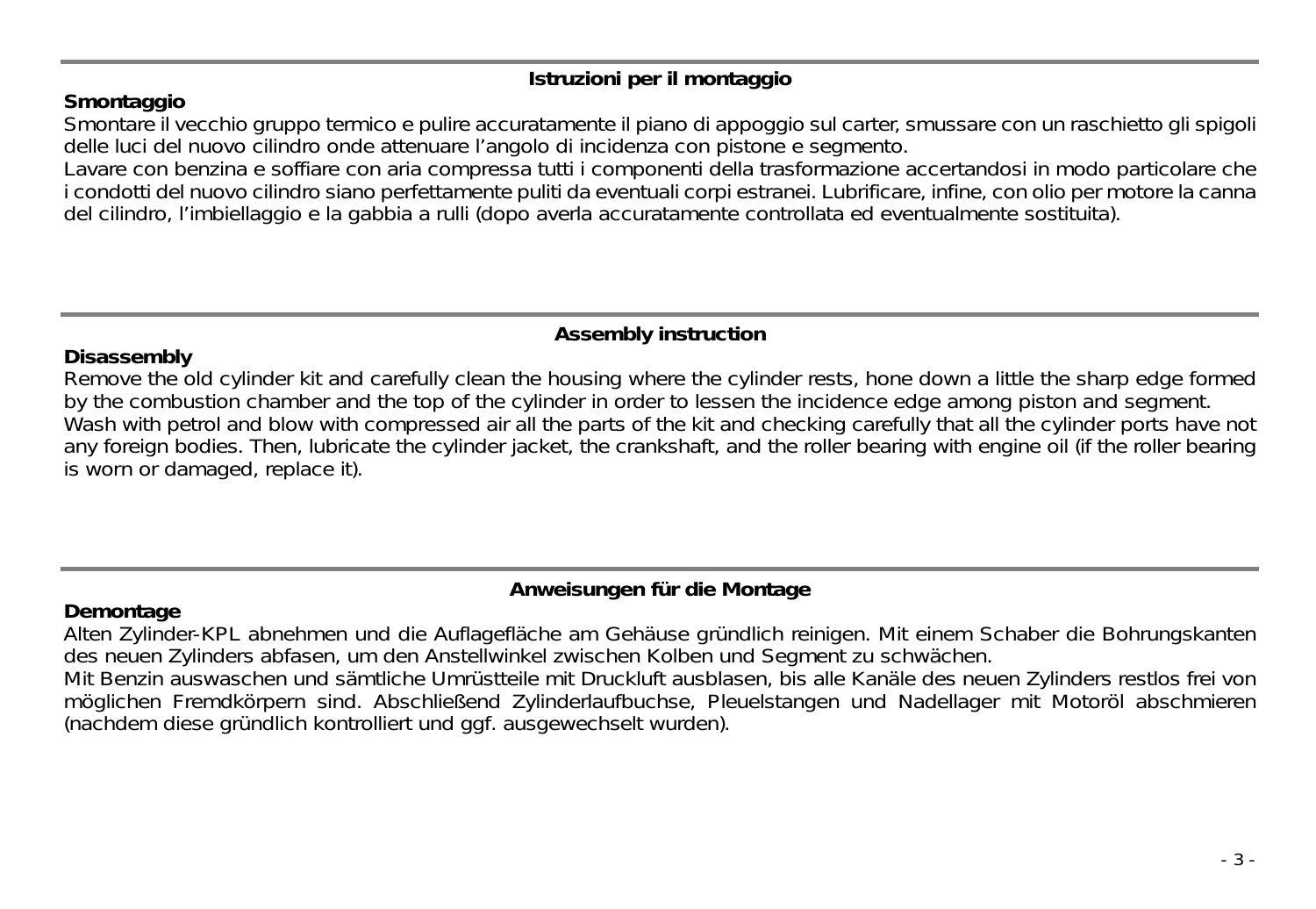### **Istruzioni per il montaggio**

#### **Smontaggio**

Smontare il vecchio gruppo termico e pulire accuratamente il piano di appoggio sul carter, smussare con un raschietto gli spigoli delle luci del nuovo cilindro onde attenuare l'angolo di incidenza con pistone e segmento.

Lavare con benzina e soffiare con aria compressa tutti i componenti della trasformazione accertandosi in modo particolare che i condotti del nuovo cilindro siano perfettamente puliti da eventuali corpi estranei. Lubrificare, infine, con olio per motore la canna del cilindro, l'imbiellaggio e la gabbia a rulli (dopo averla accuratamente controllata ed eventualmente sostituita).

#### **Assembly instruction**

#### **Disassembly**

Remove the old cylinder kit and carefully clean the housing where the cylinder rests, hone down a little the sharp edge formed by the combustion chamber and the top of the cylinder in order to lessen the incidence edge among piston and segment. Wash with petrol and blow with compressed air all the parts of the kit and checking carefully that all the cylinder ports have not any foreign bodies. Then, lubricate the cylinder jacket, the crankshaft, and the roller bearing with engine oil (if the roller bearing is worn or damaged, replace it).

#### **Anweisungen für die Montage**

#### **Demontage**

Alten Zylinder-KPL abnehmen und die Auflagefläche am Gehäuse gründlich reinigen. Mit einem Schaber die Bohrungskanten des neuen Zylinders abfasen, um den Anstellwinkel zwischen Kolben und Segment zu schwächen.

Mit Benzin auswaschen und sämtliche Umrüstteile mit Druckluft ausblasen, bis alle Kanäle des neuen Zylinders restlos frei von möglichen Fremdkörpern sind. Abschließend Zylinderlaufbuchse, Pleuelstangen und Nadellager mit Motoröl abschmieren (nachdem diese gründlich kontrolliert und ggf. ausgewechselt wurden).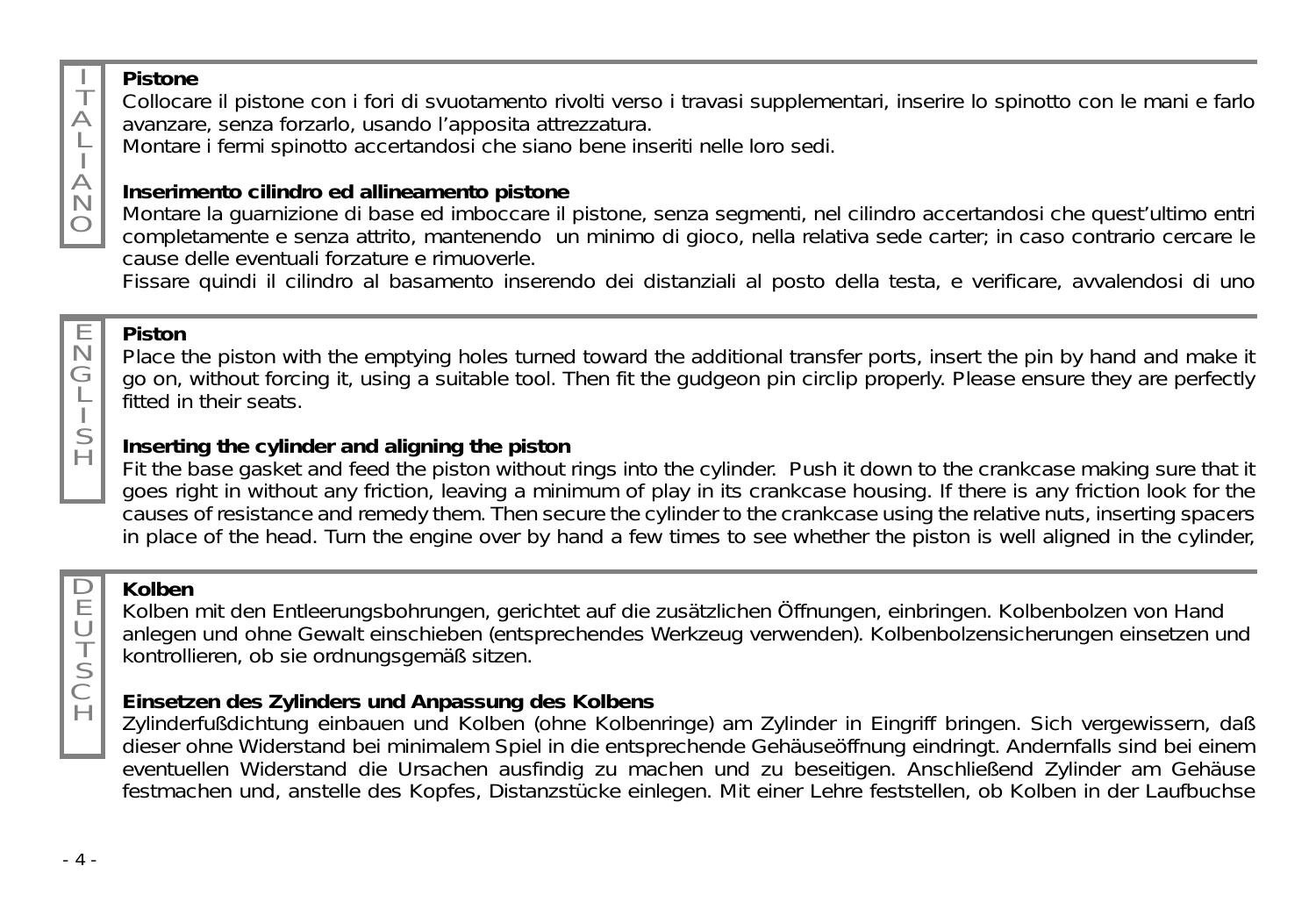#### **Pistone**

T  $\triangle$ L  $\forall$ N O

Collocare il pistone con i fori di svuotamento rivolti verso i travasi supplementari, inserire lo spinotto con le mani e farlo avanzare, senza forzarlo, usando l'apposita attrezzatura.

Montare i fermi spinotto accertandosi che siano bene inseriti nelle loro sedi.

### **Inserimento cilindro ed allineamento pistone**

Montare la guarnizione di base ed imboccare il pistone, senza segmenti, nel cilindro accertandosi che quest'ultimo entri completamente e senza attrito, mantenendo un minimo di gioco, nella relativa sede carter; in caso contrario cercare le cause delle eventuali forzature e rimuoverle.

Fissare quindi il cilindro al basamento inserendo dei distanziali al posto della testa, e verificare, avvalendosi di uno

## **Piston**

Place the piston with the emptying holes turned toward the additional transfer ports, insert the pin by hand and make it go on, without forcing it, using a suitable tool. Then fit the gudgeon pin circlip properly. Please ensure they are perfectly fitted in their seats.

#### **Inserting the cylinder and aligning the piston**

Fit the base gasket and feed the piston without rings into the cylinder. Push it down to the crankcase making sure that it goes right in without any friction, leaving a minimum of play in its crankcase housing. If there is any friction look for the causes of resistance and remedy them. Then secure the cylinder to the crankcase using the relative nuts, inserting spacers in place of the head. Turn the engine over by hand a few times to see whether the piston is well aligned in the cylinder,

### **Kolben**

Kolben mit den Entleerungsbohrungen, gerichtet auf die zusätzlichen Öffnungen, einbringen. Kolbenbolzen von Hand anlegen und ohne Gewalt einschieben (entsprechendes Werkzeug verwenden). Kolbenbolzensicherungen einsetzen und kontrollieren, ob sie ordnungsgemäß sitzen.

### **Einsetzen des Zylinders und Anpassung des Kolbens**

Zylinderfußdichtung einbauen und Kolben (ohne Kolbenringe) am Zylinder in Eingriff bringen. Sich vergewissern, daß dieser ohne Widerstand bei minimalem Spiel in die entsprechende Gehäuseöffnung eindringt. Andernfalls sind bei einem eventuellen Widerstand die Ursachen ausfindig zu machen und zu beseitigen. Anschließend Zylinder am Gehäuse festmachen und, anstelle des Kopfes, Distanzstücke einlegen. Mit einer Lehre feststellen, ob Kolben in der Laufbuchse

E U T S C  $\breve{H}$ 

E N G L I S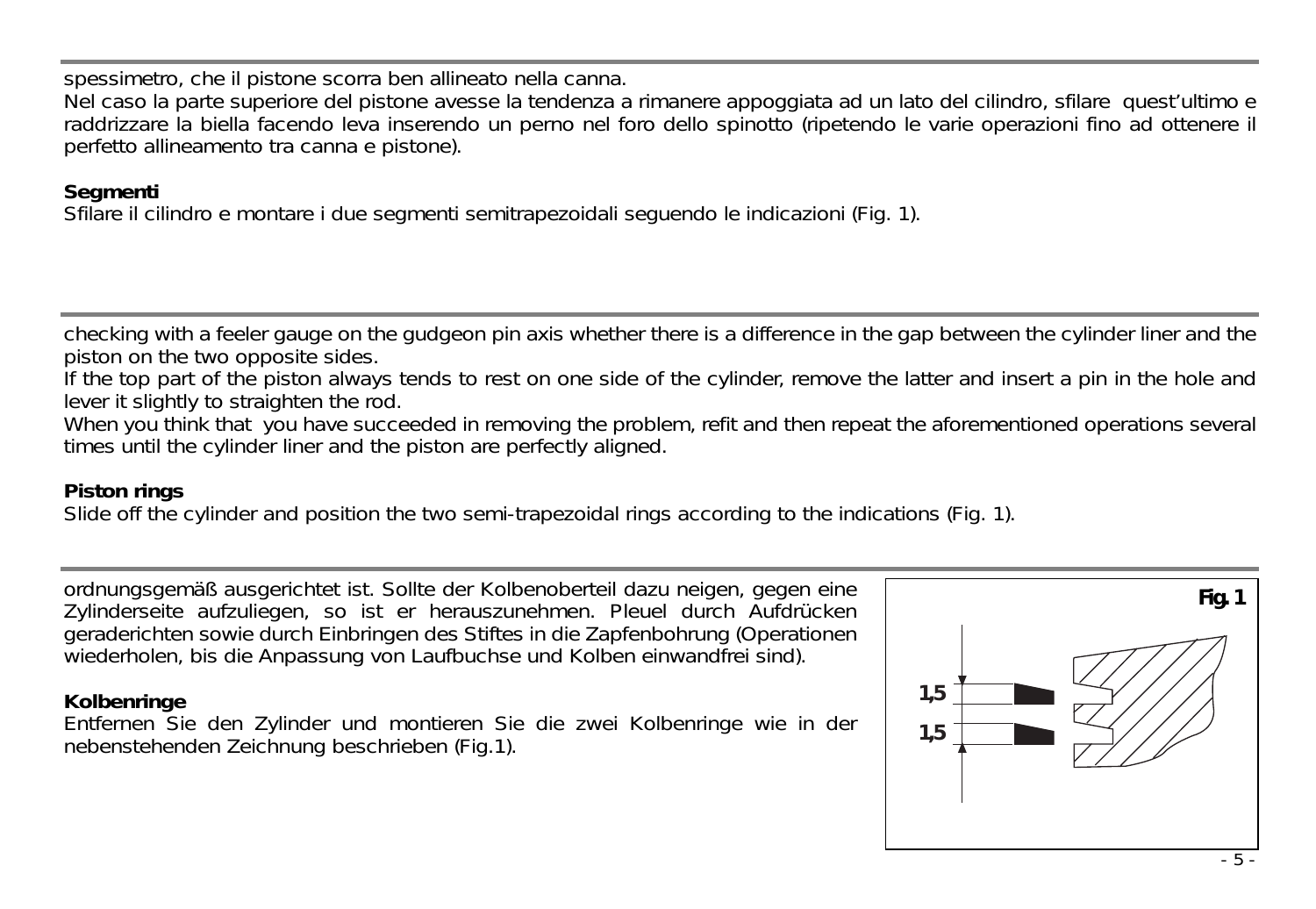spessimetro, che il pistone scorra ben allineato nella canna.

Nel caso la parte superiore del pistone avesse la tendenza a rimanere appoggiata ad un lato del cilindro, sfilare quest'ultimo e raddrizzare la biella facendo leva inserendo un perno nel foro dello spinotto (ripetendo le varie operazioni fino ad ottenere il perfetto allineamento tra canna e pistone).

#### **Segmenti**

Sfilare il cilindro e montare i due segmenti semitrapezoidali seguendo le indicazioni (Fig. 1).

checking with a feeler gauge on the gudgeon pin axis whether there is a difference in the gap between the cylinder liner and the piston on the two opposite sides.

If the top part of the piston always tends to rest on one side of the cylinder, remove the latter and insert a pin in the hole and lever it slightly to straighten the rod.

When you think that you have succeeded in removing the problem, refit and then repeat the aforementioned operations several times until the cylinder liner and the piston are perfectly aligned.

#### **Piston rings**

Slide off the cylinder and position the two semi-trapezoidal rings according to the indications (Fig. 1).

ordnungsgemäß ausgerichtet ist. Sollte der Kolbenoberteil dazu neigen, gegen eine Zylinderseite aufzuliegen, so ist er herauszunehmen. Pleuel durch Aufdrücken geraderichten sowie durch Einbringen des Stiftes in die Zapfenbohrung (Operationen wiederholen, bis die Anpassung von Laufbuchse und Kolben einwandfrei sind).

### **Kolbenringe**

Entfernen Sie den Zylinder und montieren Sie die zwei Kolbenringe wie in der nebenstehenden Zeichnung beschrieben (Fig.1).

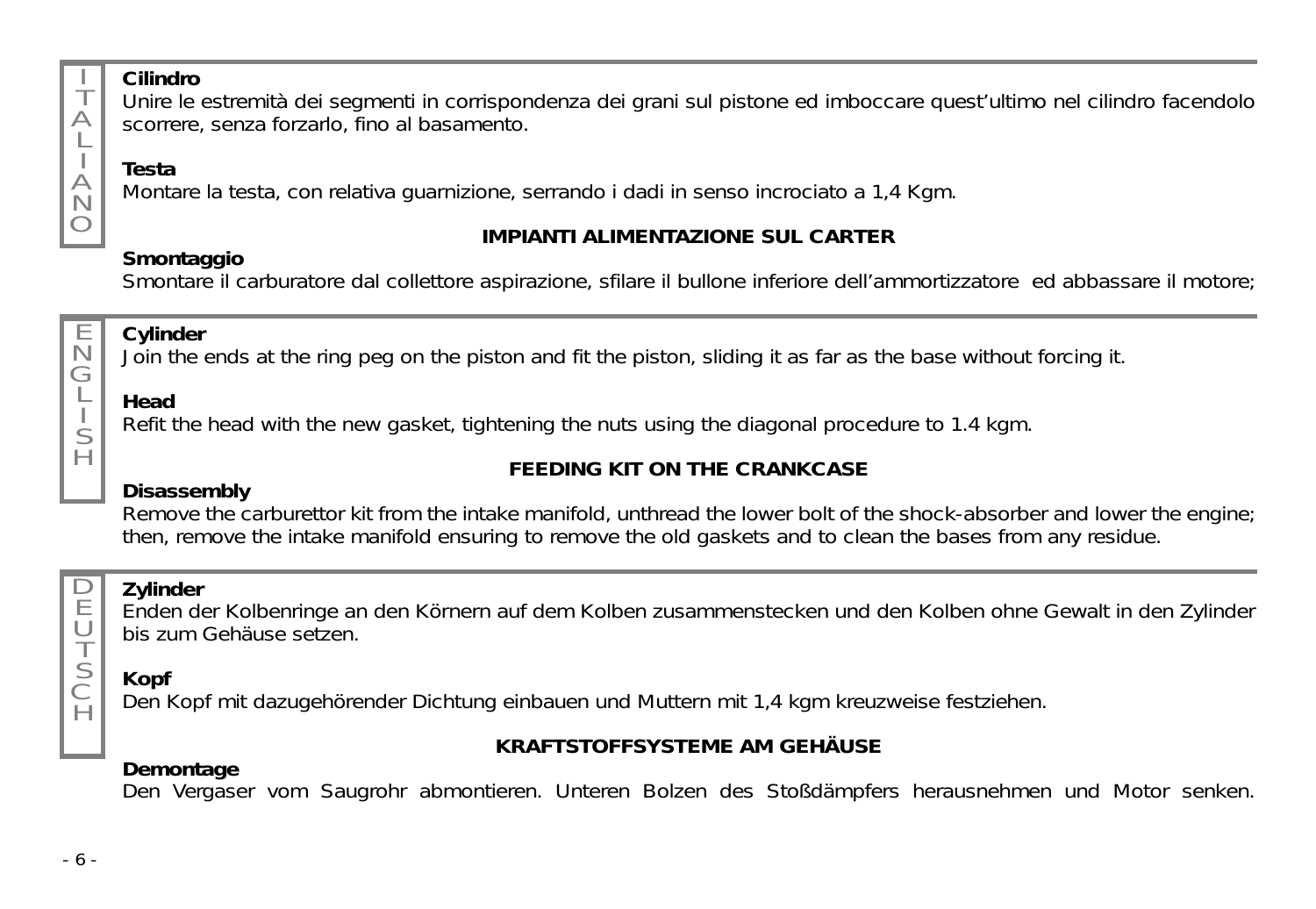

E

G L S  $\overline{H}$ 

 $\Box$ E U T S C  $\overline{H}$ 

#### **Cilindro**

Unire le estremità dei segmenti in corrispondenza dei grani sul pistone ed imboccare quest'ultimo nel cilindro facendolo scorrere, senza forzarlo, fino al basamento.

### **Testa**

Montare la testa, con relativa guarnizione, serrando i dadi in senso incrociato a 1,4 Kgm.

### **Smontaggio**

### **IMPIANTI ALIMENTAZIONE SUL CARTER**

Smontare il carburatore dal collettore aspirazione, sfilare il bullone inferiore dell'ammortizzatore ed abbassare il motore;

#### N **Cylinder**

Join the ends at the ring peg on the piston and fit the piston, sliding it as far as the base without forcing it.

### **Head**

Refit the head with the new gasket, tightening the nuts using the diagonal procedure to 1.4 kgm.

### **FEEDING KIT ON THE CRANKCASE**

### **Disassembly**

Remove the carburettor kit from the intake manifold, unthread the lower bolt of the shock-absorber and lower the engine; then, remove the intake manifold ensuring to remove the old gaskets and to clean the bases from any residue.

### **Zylinder**

Enden der Kolbenringe an den Körnern auf dem Kolben zusammenstecken und den Kolben ohne Gewalt in den Zylinder bis zum Gehäuse setzen.

## **Kopf**

Den Kopf mit dazugehörender Dichtung einbauen und Muttern mit 1,4 kgm kreuzweise festziehen.

### **KRAFTSTOFFSYSTEME AM GEHÄUSE**

### **Demontage**

Den Vergaser vom Saugrohr abmontieren. Unteren Bolzen des Stoßdämpfers herausnehmen und Motor senken.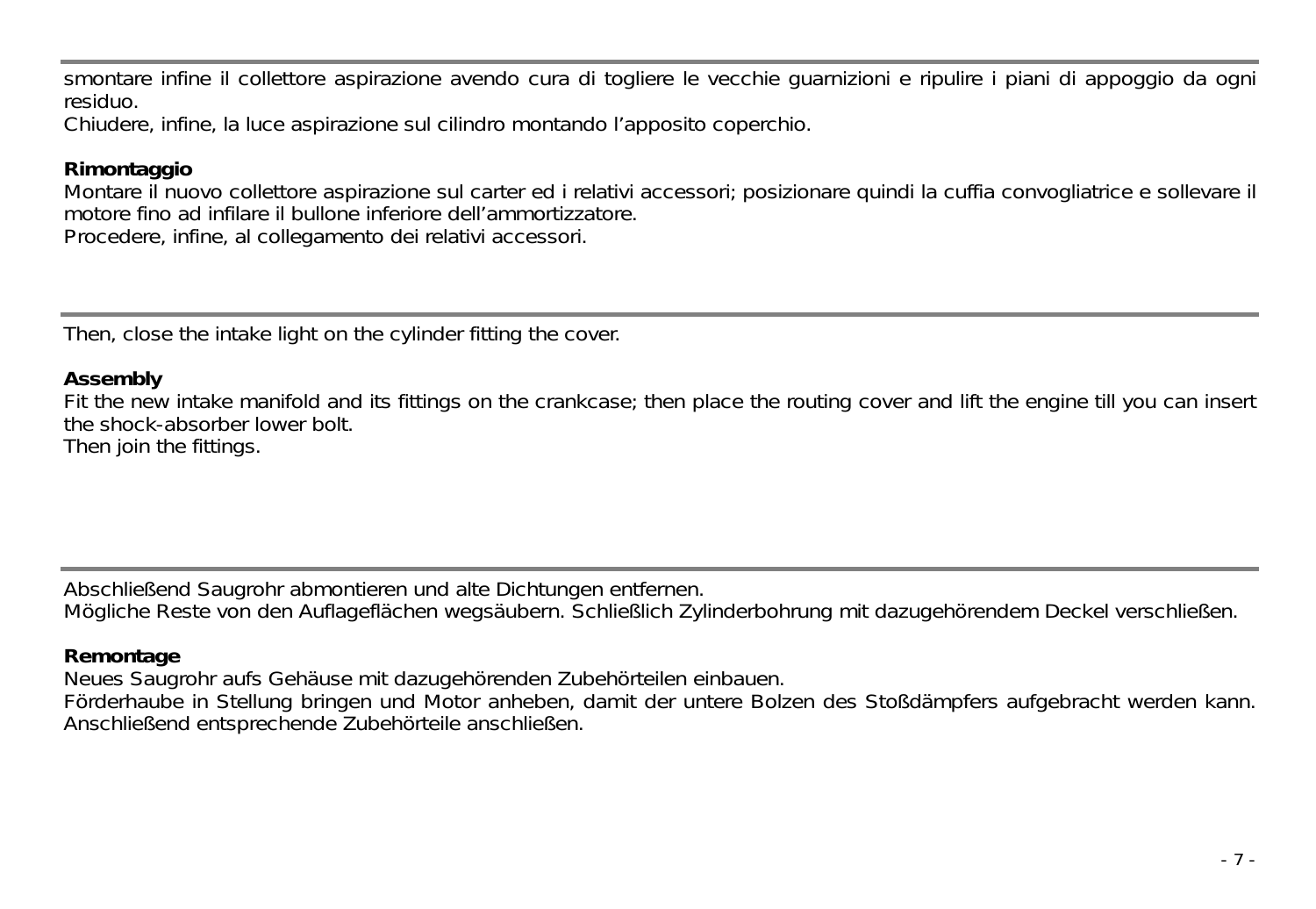smontare infine il collettore aspirazione avendo cura di togliere le vecchie guarnizioni e ripulire i piani di appoggio da ogni residuo.

Chiudere, infine, la luce aspirazione sul cilindro montando l'apposito coperchio.

#### **Rimontaggio**

Montare il nuovo collettore aspirazione sul carter ed i relativi accessori; posizionare quindi la cuffia convogliatrice e sollevare il motore fino ad infilare il bullone inferiore dell'ammortizzatore.

Procedere, infine, al collegamento dei relativi accessori.

Then, close the intake light on the cylinder fitting the cover.

#### **Assembly**

Fit the new intake manifold and its fittings on the crankcase; then place the routing cover and lift the engine till you can insert the shock-absorber lower bolt. Then join the fittings.

Abschließend Saugrohr abmontieren und alte Dichtungen entfernen.

Mögliche Reste von den Auflageflächen wegsäubern. Schließlich Zylinderbohrung mit dazugehörendem Deckel verschließen.

#### **Remontage**

Neues Saugrohr aufs Gehäuse mit dazugehörenden Zubehörteilen einbauen.

Förderhaube in Stellung bringen und Motor anheben, damit der untere Bolzen des Stoßdämpfers aufgebracht werden kann. Anschließend entsprechende Zubehörteile anschließen.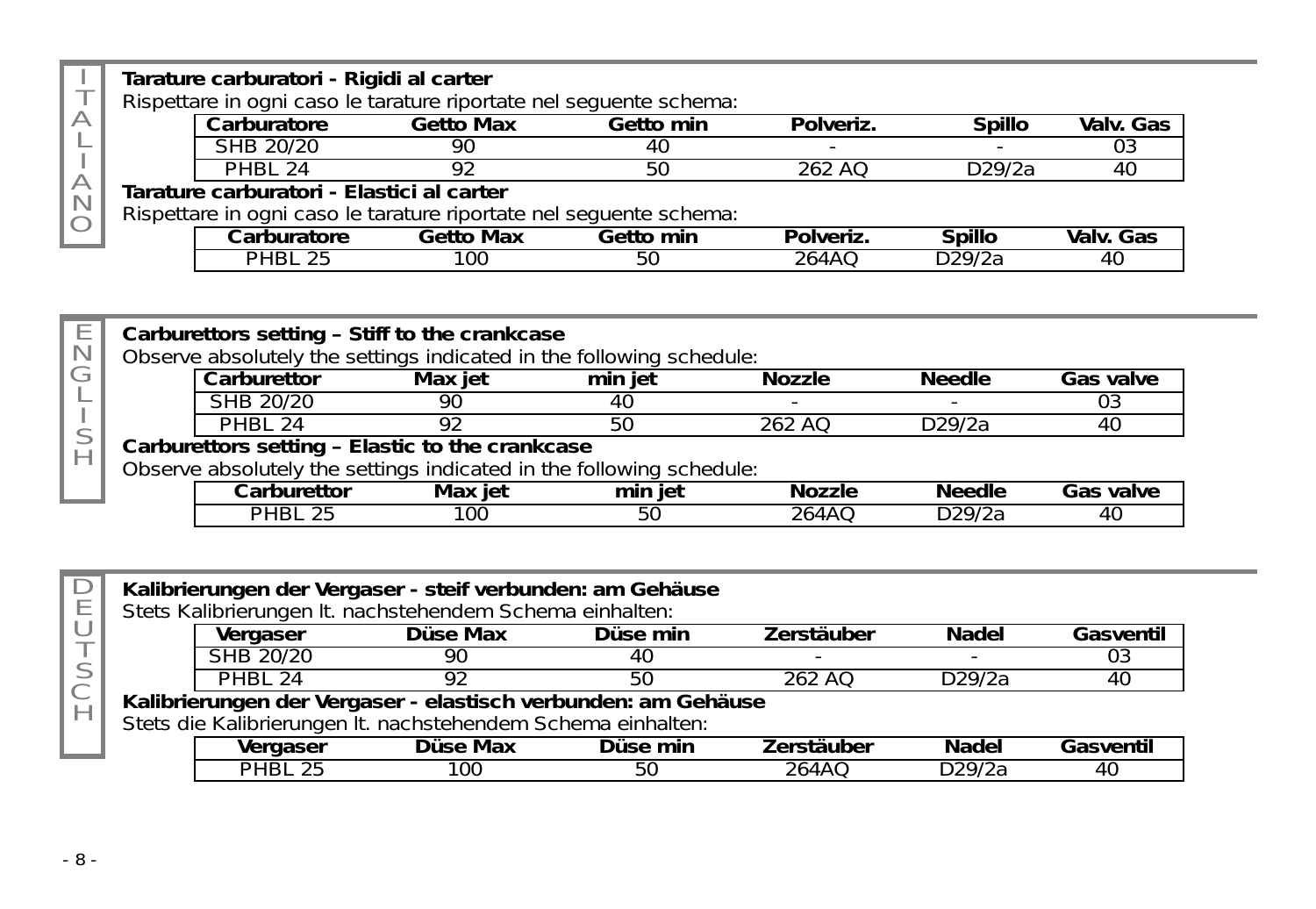|                                                               |  | Tarature carburatori - Rigidi al carter                            |                  |           |           |        |           |
|---------------------------------------------------------------|--|--------------------------------------------------------------------|------------------|-----------|-----------|--------|-----------|
|                                                               |  | Rispettare in ogni caso le tarature riportate nel seguente schema: |                  |           |           |        |           |
| $\triangle$                                                   |  | Carburatore                                                        | <b>Getto Max</b> | Getto min | Polveriz. | Spillo | Valv. Gas |
|                                                               |  | SHB 20/20                                                          | 90               |           |           |        |           |
|                                                               |  | <b>PHRI 24</b>                                                     |                  |           | 262 AO    | D29/2a | 40        |
| А<br>Tarature carburatori - Elastici al carter<br>$\mathbb N$ |  |                                                                    |                  |           |           |        |           |
|                                                               |  | Rispettare in ogni caso le tarature riportate nel seguente schema: |                  |           |           |        |           |
|                                                               |  | Carburatore                                                        | <b>Getto Max</b> | Getto min | Polveriz. | Spillo | Valv. Gas |
|                                                               |  | <b>PHRI</b> 25                                                     | 100              | 50        | 264AO     | D29/2a |           |

| Е        |                                                 |                | Carburettors setting - Stiff to the crankcase                        |         |               |               |                  |
|----------|-------------------------------------------------|----------------|----------------------------------------------------------------------|---------|---------------|---------------|------------------|
| N        |                                                 |                | Observe absolutely the settings indicated in the following schedule: |         |               |               |                  |
|          |                                                 | Carburettor    | Max iet                                                              | min iet | Nozzle        | Needle        | <b>Gas valve</b> |
|          |                                                 | SHB 20/20      | 90                                                                   |         |               |               |                  |
|          |                                                 | PHBL 24        | Q۵                                                                   | 50      | 262 AO        | D29/2a        |                  |
| $\vdash$ | Carburettors setting - Elastic to the crankcase |                |                                                                      |         |               |               |                  |
|          |                                                 |                | Observe absolutely the settings indicated in the following schedule: |         |               |               |                  |
|          |                                                 | Carburettor    | Max iet                                                              | min iet | <b>Nozzle</b> | <b>Needle</b> | <b>Gas valve</b> |
|          |                                                 | <b>PHRI 25</b> | 100                                                                  | 50      | 264AO         | D29/2a        |                  |

|   |                | Kalibrierungen der Vergaser - steif verbunden: am Gehäuse<br>Stets Kalibrierungen It. nachstehendem Schema einhalten: |          |                   |        |           |
|---|----------------|-----------------------------------------------------------------------------------------------------------------------|----------|-------------------|--------|-----------|
|   | Vergaser       | Düse Max                                                                                                              | Düse min | <b>Zerstäuber</b> | Nadel  | Gasventil |
|   | SHB 20/20      | 90                                                                                                                    | 40       |                   |        |           |
|   | <b>PHRI 24</b> | 92                                                                                                                    | 50       | $262$ AO          | D29/2a | 40        |
|   |                | Kalibrierungen der Vergaser - elastisch verbunden: am Gehäuse                                                         |          |                   |        |           |
| H |                | Stets die Kalibrierungen It. nachstehendem Schema einhalten:                                                          |          |                   |        |           |
|   | Vergaser       | Düse Max                                                                                                              | Düse min | Zerstäuber        | Nadel  | Gasventil |
|   | <b>PHRI 25</b> | 100                                                                                                                   | 50       | 264AO             | D29/2a |           |

- 8 -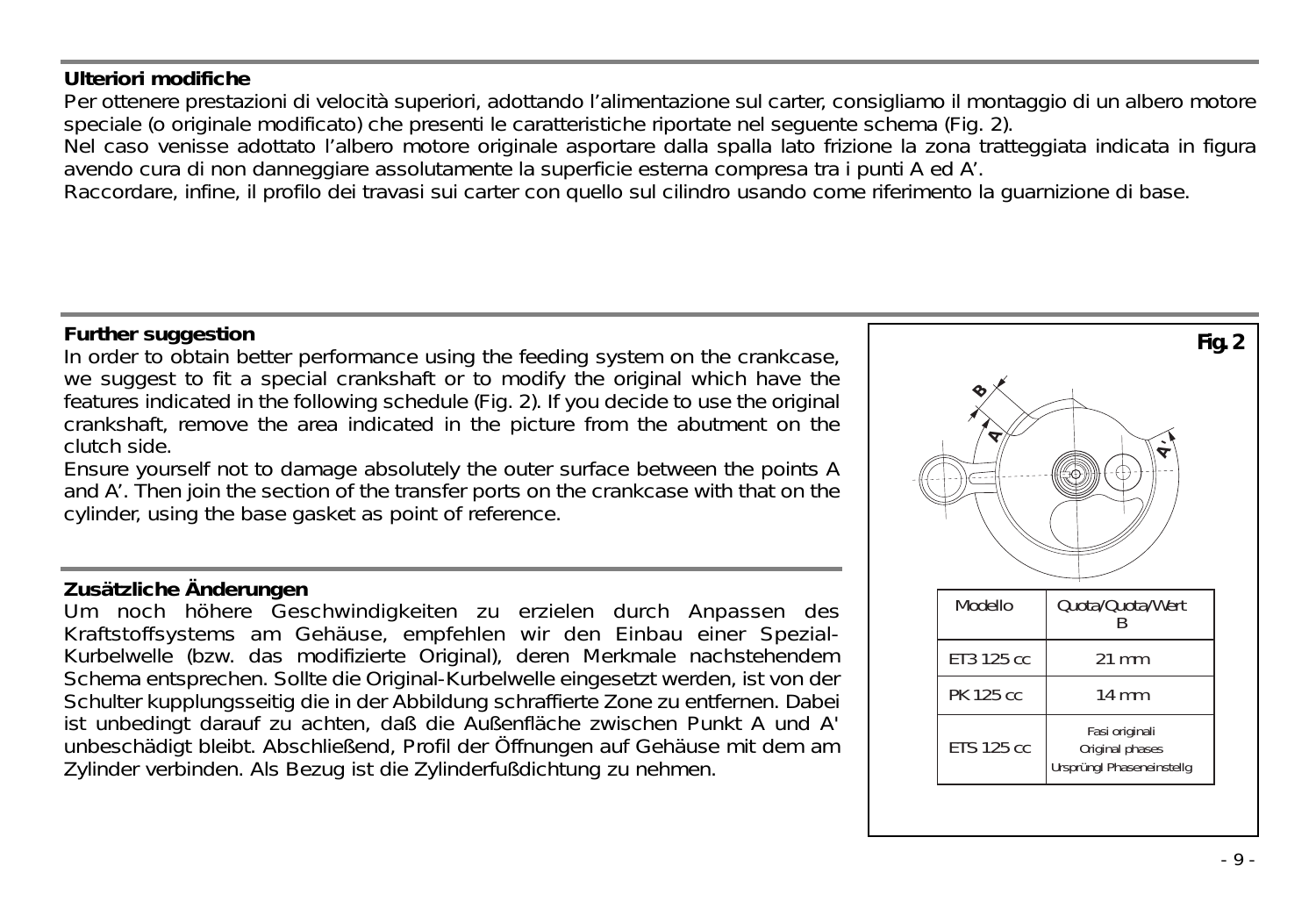#### **Ulteriori modifiche**

Per ottenere prestazioni di velocità superiori, adottando l'alimentazione sul carter, consigliamo il montaggio di un albero motore speciale (o originale modificato) che presenti le caratteristiche riportate nel seguente schema (Fig. 2).

Nel caso venisse adottato l'albero motore originale asportare dalla spalla lato frizione la zona tratteggiata indicata in figura avendo cura di non danneggiare assolutamente la superficie esterna compresa tra i punti A ed A'.

Raccordare, infine, il profilo dei travasi sui carter con quello sul cilindro usando come riferimento la guarnizione di base.

#### **Further suggestion**

In order to obtain better performance using the feeding system on the crankcase, we suggest to fit a special crankshaft or to modify the original which have the features indicated in the following schedule (Fig. 2). If you decide to use the original crankshaft, remove the area indicated in the picture from the abutment on the clutch side.

Ensure yourself not to damage absolutely the outer surface between the points A and A'. Then join the section of the transfer ports on the crankcase with that on the cylinder, using the base gasket as point of reference.

#### **Zusätzliche Änderungen**

Um noch höhere Geschwindigkeiten zu erzielen durch Anpassen des Kraftstoffsystems am Gehäuse, empfehlen wir den Einbau einer Spezial-Kurbelwelle (bzw. das modifizierte Original), deren Merkmale nachstehendem Schema entsprechen. Sollte die Original-Kurbelwelle eingesetzt werden, ist von der Schulter kupplungsseitig die in der Abbildung schraffierte Zone zu entfernen. Dabei ist unbedingt darauf zu achten, daß die Außenfläche zwischen Punkt A und A' unbeschädigt bleibt. Abschließend, Profil der Öffnungen auf Gehäuse mit dem am Zylinder verbinden. Als Bezug ist die Zylinderfußdichtung zu nehmen.

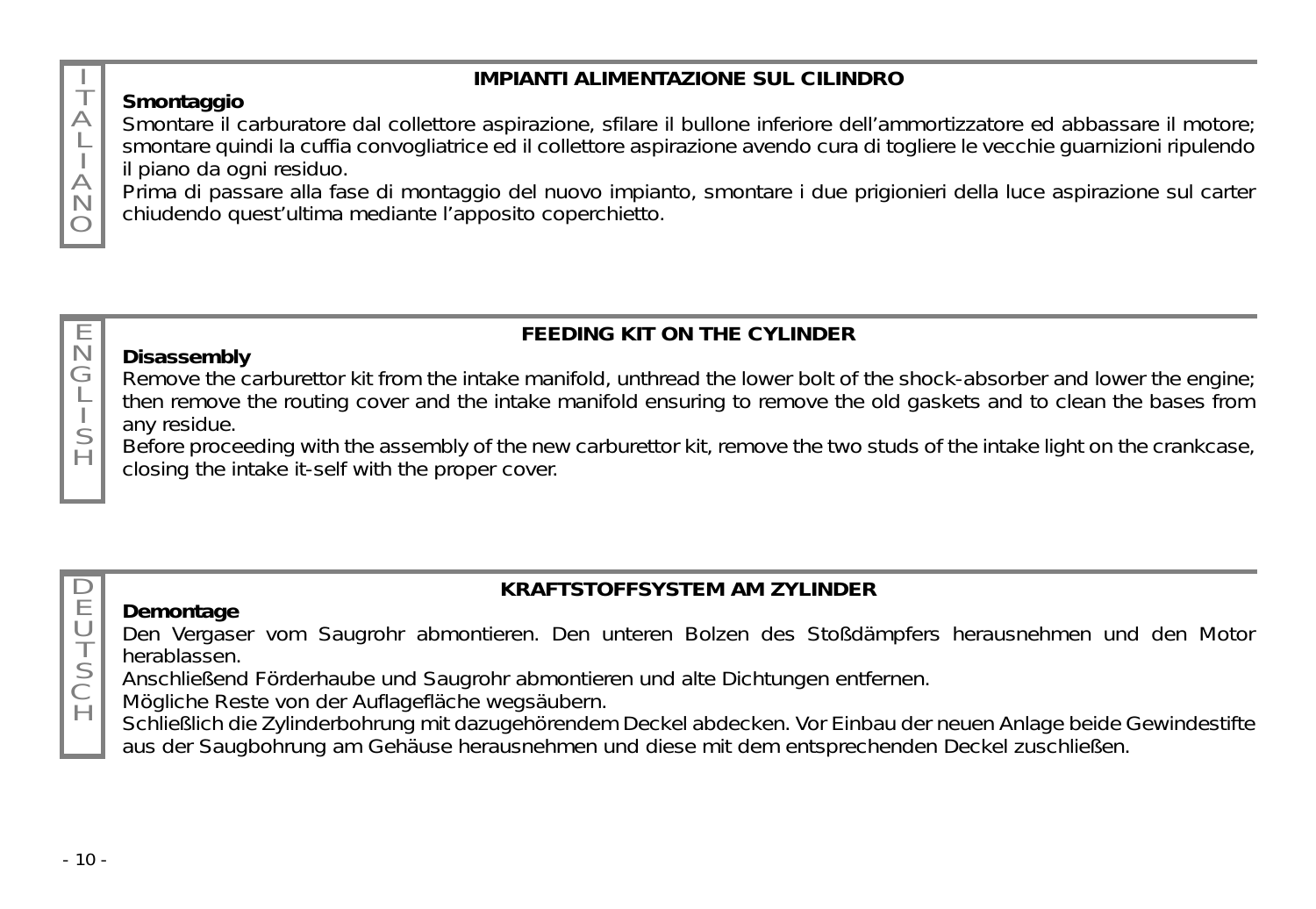### **IMPIANTI ALIMENTAZIONE SUL CILINDRO**

### **Smontaggio**

T  $\triangle$ L  $\triangle$ N  $\bigcap$ 

E N G L S H

Smontare il carburatore dal collettore aspirazione, sfilare il bullone inferiore dell'ammortizzatore ed abbassare il motore; smontare quindi la cuffia convogliatrice ed il collettore aspirazione avendo cura di togliere le vecchie guarnizioni ripulendo il piano da ogni residuo.

Prima di passare alla fase di montaggio del nuovo impianto, smontare i due prigionieri della luce aspirazione sul carter chiudendo quest'ultima mediante l'apposito coperchietto.

### **FEEDING KIT ON THE CYLINDER**

#### **Disassembly**

Remove the carburettor kit from the intake manifold, unthread the lower bolt of the shock-absorber and lower the engine; then remove the routing cover and the intake manifold ensuring to remove the old gaskets and to clean the bases from any residue.

Before proceeding with the assembly of the new carburettor kit, remove the two studs of the intake light on the crankcase, closing the intake it-self with the proper cover.

#### $\Box$ E  $\cup$ T

S C  $\overline{H}$ 

### **KRAFTSTOFFSYSTEM AM ZYLINDER**

**Demontage** Den Vergaser vom Saugrohr abmontieren. Den unteren Bolzen des Stoßdämpfers herausnehmen und den Motor herablassen.

Anschließend Förderhaube und Saugrohr abmontieren und alte Dichtungen entfernen.

Mögliche Reste von der Auflagefläche wegsäubern.

Schließlich die Zylinderbohrung mit dazugehörendem Deckel abdecken. Vor Einbau der neuen Anlage beide Gewindestifte aus der Saugbohrung am Gehäuse herausnehmen und diese mit dem entsprechenden Deckel zuschließen.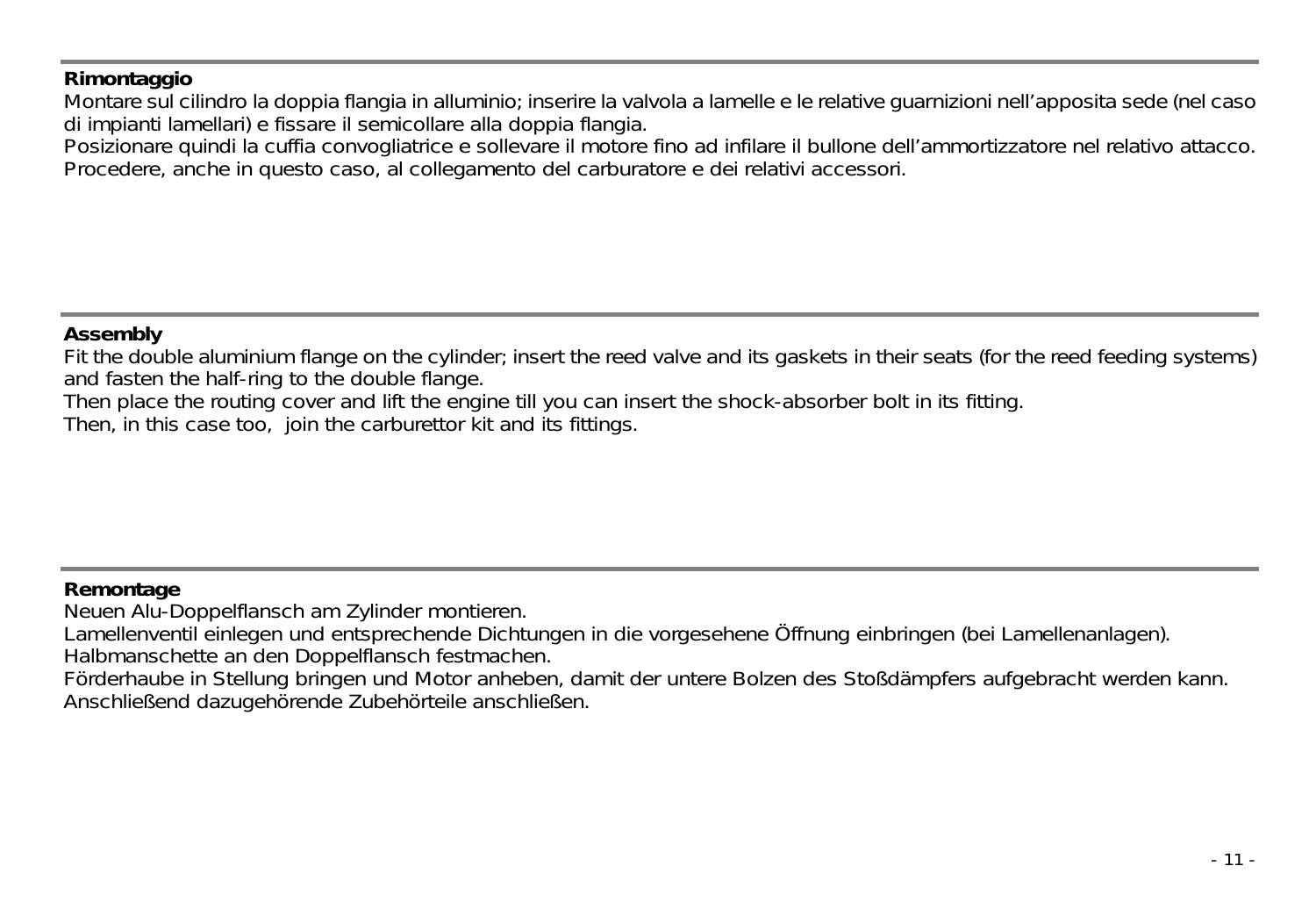#### **Rimontaggio**

Montare sul cilindro la doppia flangia in alluminio; inserire la valvola a lamelle e le relative guarnizioni nell'apposita sede (nel caso di impianti lamellari) e fissare il semicollare alla doppia flangia.

Posizionare quindi la cuffia convogliatrice e sollevare il motore fino ad infilare il bullone dell'ammortizzatore nel relativo attacco. Procedere, anche in questo caso, al collegamento del carburatore e dei relativi accessori.

#### **Assembly**

Fit the double aluminium flange on the cylinder; insert the reed valve and its gaskets in their seats (for the reed feeding systems) and fasten the half-ring to the double flange.

Then place the routing cover and lift the engine till you can insert the shock-absorber bolt in its fitting.

Then, in this case too, join the carburettor kit and its fittings.

#### **Remontage**

Neuen Alu-Doppelflansch am Zylinder montieren.

Lamellenventil einlegen und entsprechende Dichtungen in die vorgesehene Öffnung einbringen (bei Lamellenanlagen).

Halbmanschette an den Doppelflansch festmachen.

Förderhaube in Stellung bringen und Motor anheben, damit der untere Bolzen des Stoßdämpfers aufgebracht werden kann. Anschließend dazugehörende Zubehörteile anschließen.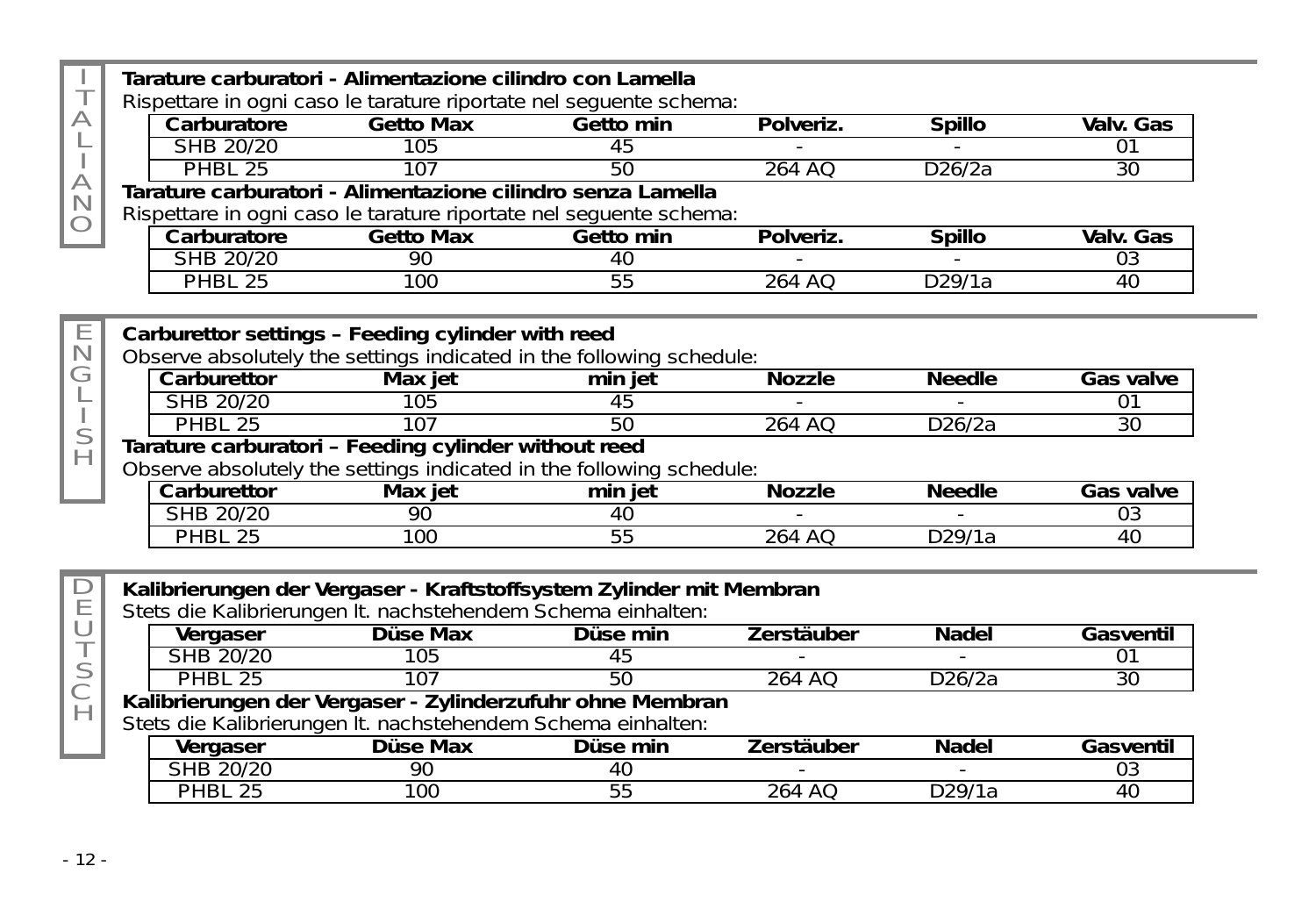|             | Tarature carburatori - Alimentazione cilindro con Lamella            |                  |           |               |               |                 |
|-------------|----------------------------------------------------------------------|------------------|-----------|---------------|---------------|-----------------|
|             | Rispettare in ogni caso le tarature riportate nel sequente schema:   |                  |           |               |               |                 |
| А           | Carburatore                                                          | <b>Getto Max</b> | Getto min | Polveriz.     | <b>Spillo</b> | Valv. Gas       |
|             | SHB 20/20                                                            | 105              | 45        |               |               | 707             |
|             | <b>PHBL 25</b>                                                       | 107              | 50        | 264 AO        | D26/2a        | 30              |
| A<br>N      | Tarature carburatori - Alimentazione cilindro senza Lamella          |                  |           |               |               |                 |
|             | Rispettare in ogni caso le tarature riportate nel seguente schema:   |                  |           |               |               |                 |
|             | Carburatore                                                          | <b>Getto Max</b> | Getto min | Polveriz.     | <b>Spillo</b> | Valv. Gas       |
|             | SHB 20/20                                                            | 90               | 40        |               |               | 0 <sub>3</sub>  |
|             | PHBL 25                                                              | $100^{-}$        | 55        | 264 AO        | D29/1a        | $\overline{40}$ |
|             |                                                                      |                  |           |               |               |                 |
| Ε           | Carburettor settings - Feeding cylinder with reed                    |                  |           |               |               |                 |
| $\mathbb N$ | Observe absolutely the settings indicated in the following schedule: |                  |           |               |               |                 |
| G           | Carburettor                                                          | Max jet          | min jet   | <b>Nozzle</b> | <b>Needle</b> | Gas valve       |
|             | SHB 20/20                                                            | 105              | 45        |               |               | $\overline{01}$ |
|             | <b>PHBL 25</b>                                                       | 107              | 50        | 264 AO        | D26/2a        | 30              |
| S           | Tarature carburatori - Feeding cylinder without reed                 |                  |           |               |               |                 |
| Н           | Observe absolutely the settings indicated in the following schedule: |                  |           |               |               |                 |
|             | Carburettor                                                          | Max iet          | min jet   | <b>Nozzle</b> | <b>Needle</b> | Gas valve       |
|             | SHB 20/20                                                            | 90               | 40        |               |               | 0 <sub>3</sub>  |
|             | PHBL 25                                                              | $100^{-}$        | 55        | 264 AO        | D29/1a        | 40              |
|             |                                                                      |                  |           |               |               |                 |
| D           | Kalibrierungen der Vergaser - Kraftstoffsystem Zylinder mit Membran  |                  |           |               |               |                 |
| Ε           | Stets die Kalibrierungen It. nachstehendem Schema einhalten:         |                  |           |               |               |                 |
| U           | Vergaser                                                             | Düse Max         | Düse min  | Zerstäuber    | Nadel         | Gasventil       |
| $\top$      | SHB 20/20                                                            | 105              | 45        |               |               | $\overline{01}$ |
| S           | <b>PHBL 25</b>                                                       | 107              | 50        | 264 AO        | D26/2a        | $\overline{30}$ |
| Ć           | Kalibrierungen der Vergaser - Zylinderzufuhr ohne Membran            |                  |           |               |               |                 |
| Н           | Stets die Kalibrierungen It. nachstehendem Schema einhalten:         |                  |           |               |               |                 |
|             | Vergaser                                                             | Düse Max         | Düse min  | Zerstäuber    | Nadel         | Gasventil       |
|             | SHB 20/20                                                            | 90               | 40        |               |               | 0 <sub>3</sub>  |
|             | <b>PHBL 25</b>                                                       | 100              | 55        | 264 AO        | D29/1a        | 40              |
|             |                                                                      |                  |           |               |               |                 |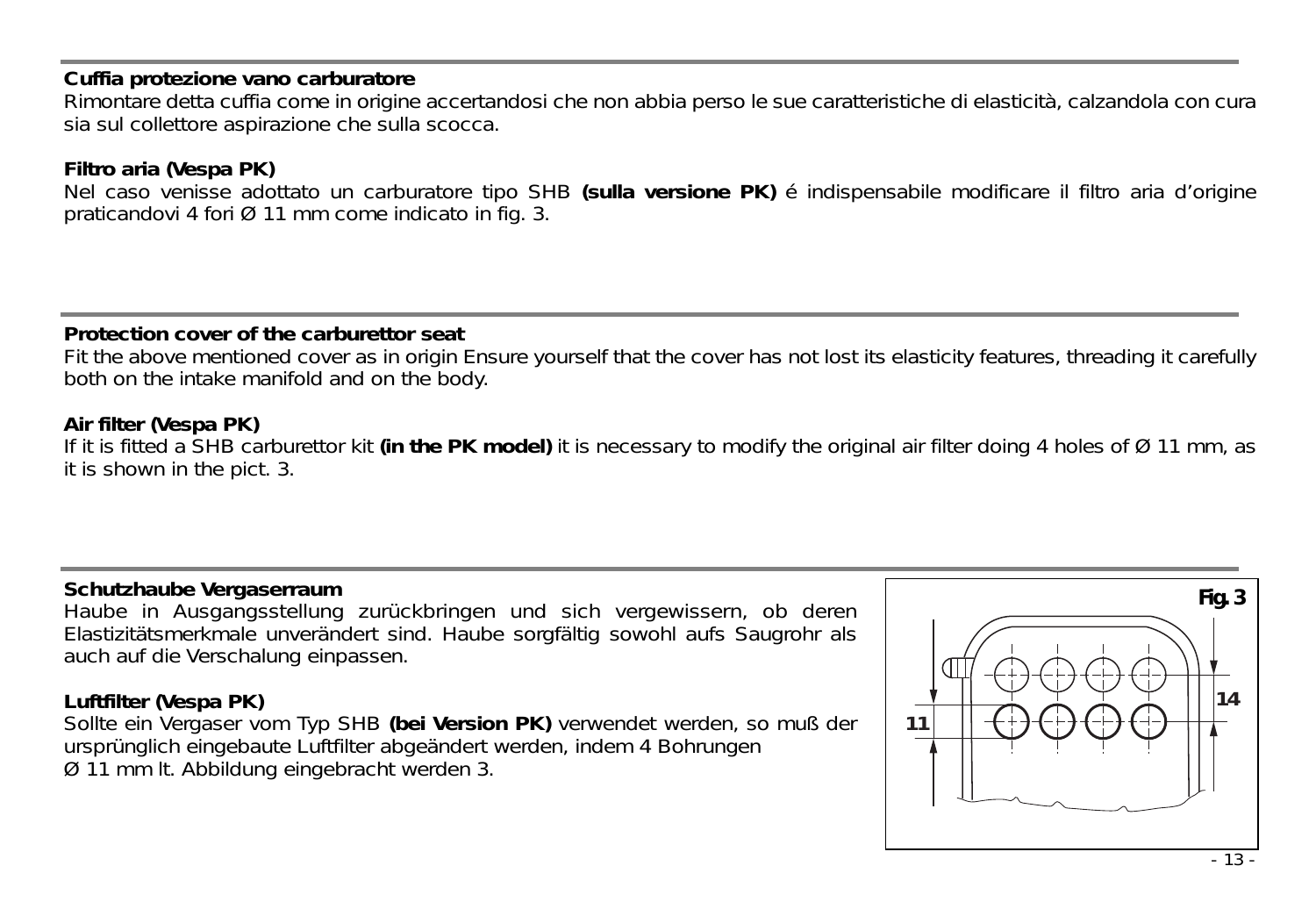#### **Cuffia protezione vano carburatore**

Rimontare detta cuffia come in origine accertandosi che non abbia perso le sue caratteristiche di elasticità, calzandola con cura sia sul collettore aspirazione che sulla scocca.

#### **Filtro aria (Vespa PK)**

Nel caso venisse adottato un carburatore tipo SHB **(sulla versione PK)** é indispensabile modificare il filtro aria d'origine praticandovi 4 fori Ø 11 mm come indicato in fig. 3.

#### **Protection cover of the carburettor seat**

Fit the above mentioned cover as in origin Ensure yourself that the cover has not lost its elasticity features, threading it carefully both on the intake manifold and on the body.

#### **Air filter (Vespa PK)**

If it is fitted a SHB carburettor kit **(in the PK model)** it is necessary to modify the original air filter doing 4 holes of Ø 11 mm, as it is shown in the pict. 3.

#### **Schutzhaube Vergaserraum**

Haube in Ausgangsstellung zurückbringen und sich vergewissern, ob deren Elastizitätsmerkmale unverändert sind. Haube sorgfältig sowohl aufs Saugrohr als auch auf die Verschalung einpassen.

#### **Luftfilter (Vespa PK)**

Sollte ein Vergaser vom Typ SHB **(bei Version PK)** verwendet werden, so muß der ursprünglich eingebaute Luftfilter abgeändert werden, indem 4 Bohrungen Ø 11 mm lt. Abbildung eingebracht werden 3.

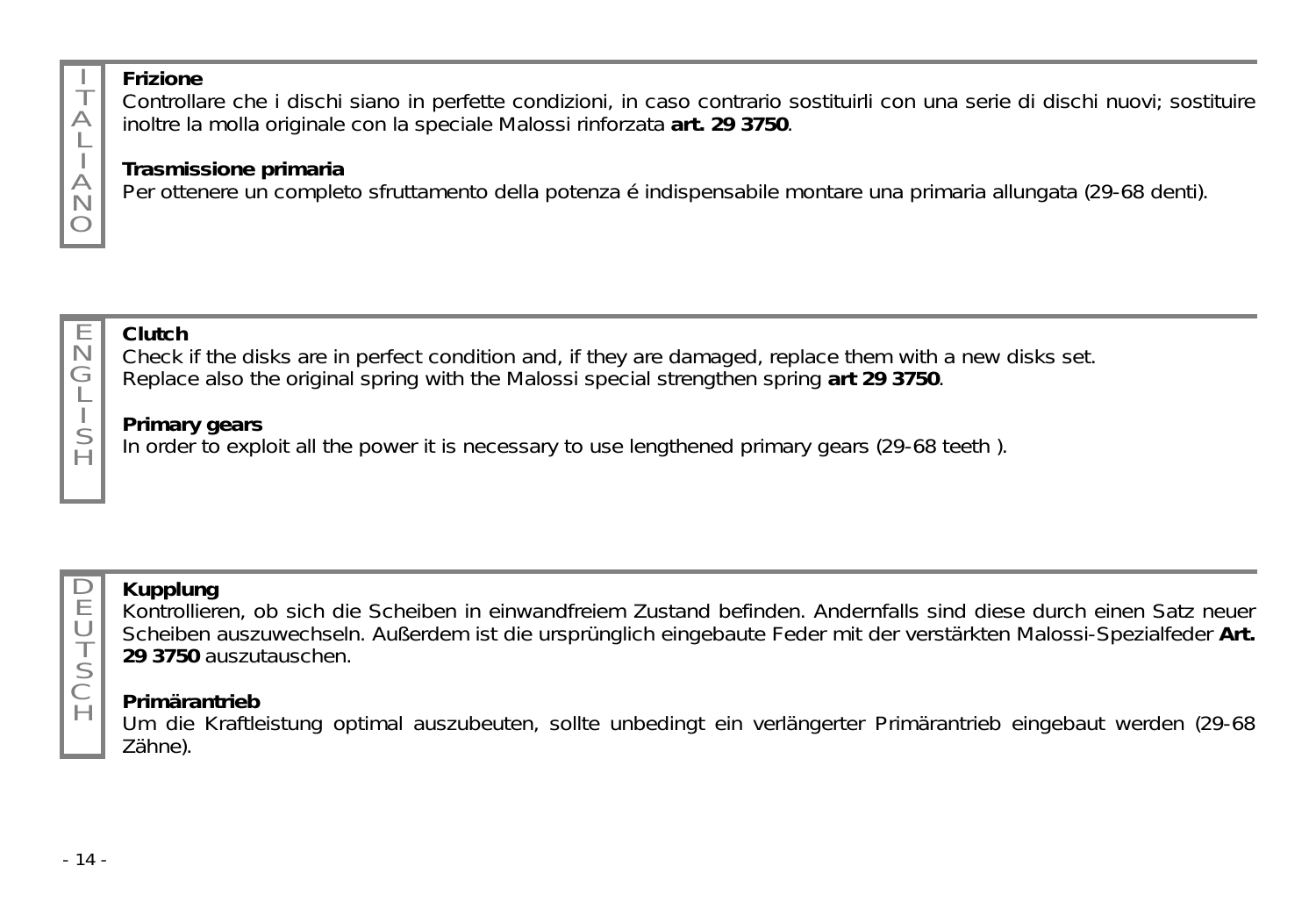# **Frizione**

T  $\triangle$ L I  $\forall$ N  $\circ$  Controllare che i dischi siano in perfette condizioni, in caso contrario sostituirli con una serie di dischi nuovi; sostituire inoltre la molla originale con la speciale Malossi rinforzata **art. 29 3750**.

### **Trasmissione primaria**

Per ottenere un completo sfruttamento della potenza é indispensabile montare una primaria allungata (29-68 denti).



### **Clutch**

Check if the disks are in perfect condition and, if they are damaged, replace them with a new disks set. Replace also the original spring with the Malossi special strengthen spring **art 29 3750**.

### **Primary gears**

In order to exploit all the power it is necessary to use lengthened primary gears (29-68 teeth ).



U T S C  $\overline{H}$ 

# **Kupplung**

Kontrollieren, ob sich die Scheiben in einwandfreiem Zustand befinden. Andernfalls sind diese durch einen Satz neuer Scheiben auszuwechseln. Außerdem ist die ursprünglich eingebaute Feder mit der verstärkten Malossi-Spezialfeder **Art. 29 3750** auszutauschen.

## **Primärantrieb**

Um die Kraftleistung optimal auszubeuten, sollte unbedingt ein verlängerter Primärantrieb eingebaut werden (29-68 Zähne).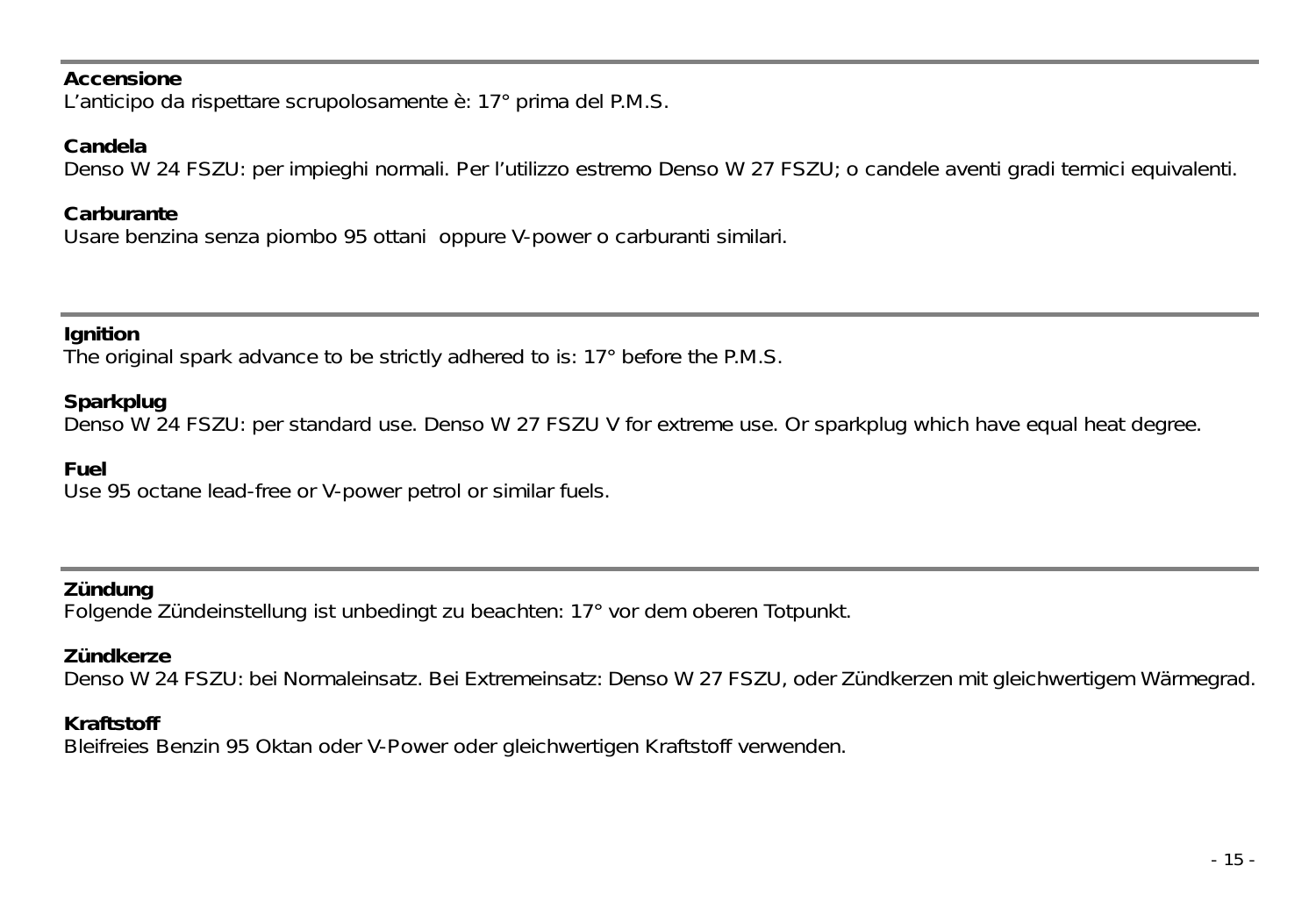#### **Accensione**

L'anticipo da rispettare scrupolosamente è: 17° prima del P.M.S.

#### **Candela**

Denso W 24 FSZU: per impieghi normali. Per l'utilizzo estremo Denso W 27 FSZU; o candele aventi gradi termici equivalenti.

#### **Carburante**

Usare benzina senza piombo 95 ottani oppure V-power o carburanti similari.

#### **Ignition**

The original spark advance to be strictly adhered to is: 17° before the P.M.S.

#### **Sparkplug**

Denso W 24 FSZU: per standard use. Denso W 27 FSZU V for extreme use. Or sparkplug which have equal heat degree.

#### **Fuel**

Use 95 octane lead-free or V-power petrol or similar fuels.

#### **Zündung**

Folgende Zündeinstellung ist unbedingt zu beachten: 17° vor dem oberen Totpunkt.

#### **Zündkerze**

Denso W 24 FSZU: bei Normaleinsatz. Bei Extremeinsatz: Denso W 27 FSZU, oder Zündkerzen mit gleichwertigem Wärmegrad.

#### **Kraftstoff**

Bleifreies Benzin 95 Oktan oder V-Power oder gleichwertigen Kraftstoff verwenden.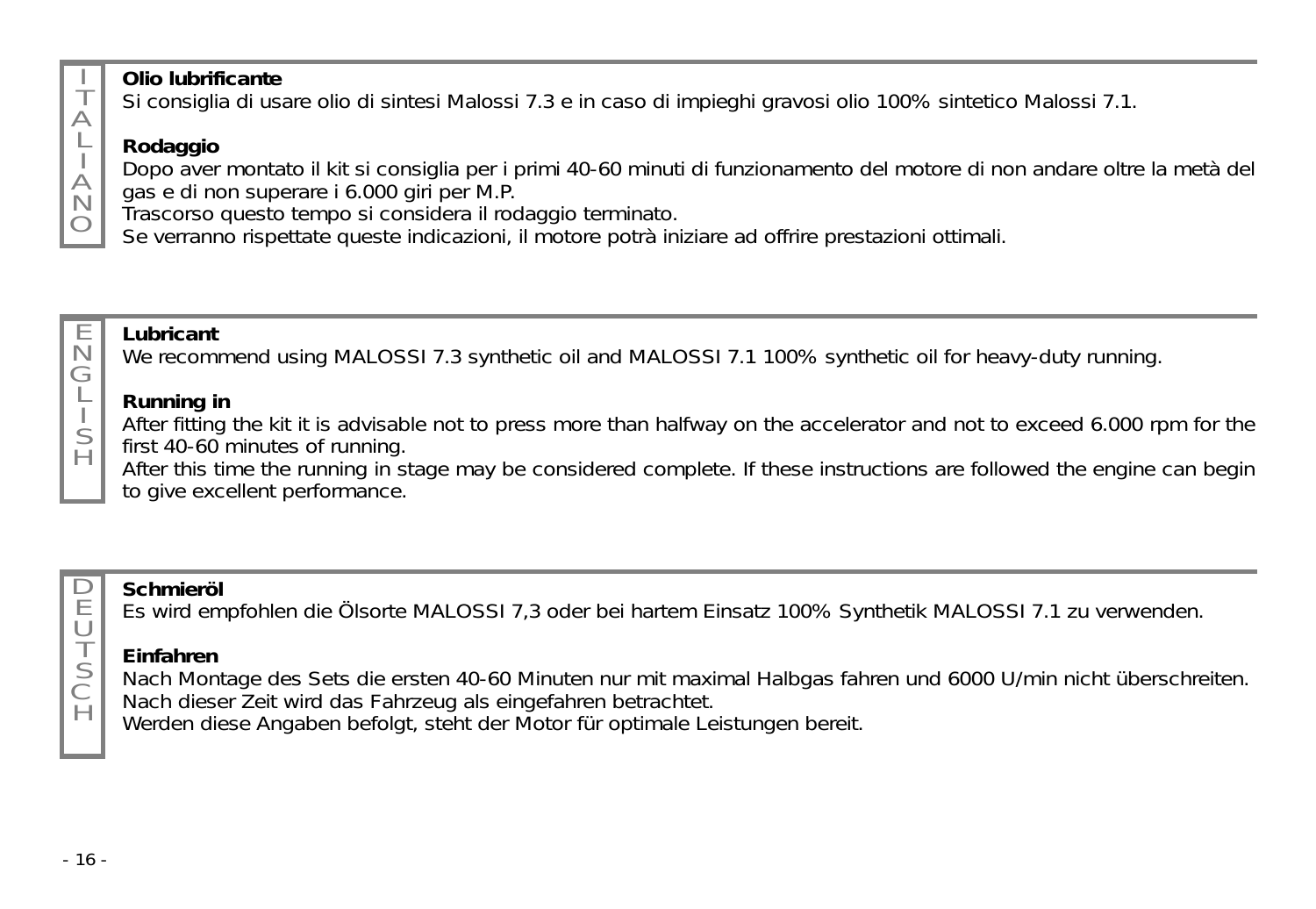

E

G L S H

### **Olio lubrificante**

Si consiglia di usare olio di sintesi Malossi 7.3 e in caso di impieghi gravosi olio 100% sintetico Malossi 7.1.

# **Rodaggio**

Dopo aver montato il kit si consiglia per i primi 40-60 minuti di funzionamento del motore di non andare oltre la metà del gas e di non superare i 6.000 giri per M.P.

Trascorso questo tempo si considera il rodaggio terminato.

Se verranno rispettate queste indicazioni, il motore potrà iniziare ad offrire prestazioni ottimali.

#### N **Lubricant**

We recommend using MALOSSI 7.3 synthetic oil and MALOSSI 7.1 100% synthetic oil for heavy-duty running.

### **Running in**

After fitting the kit it is advisable not to press more than halfway on the accelerator and not to exceed 6.000 rpm for the first 40-60 minutes of running.

After this time the running in stage may be considered complete. If these instructions are followed the engine can begin to give excellent performance.



S C  $\overline{H}$ 

### **Schmieröl**

Es wird empfohlen die Ölsorte MALOSSI 7,3 oder bei hartem Einsatz 100% Synthetik MALOSSI 7.1 zu verwenden.

## **Einfahren**

Nach Montage des Sets die ersten 40-60 Minuten nur mit maximal Halbgas fahren und 6000 U/min nicht überschreiten. Nach dieser Zeit wird das Fahrzeug als eingefahren betrachtet.

Werden diese Angaben befolgt, steht der Motor für optimale Leistungen bereit.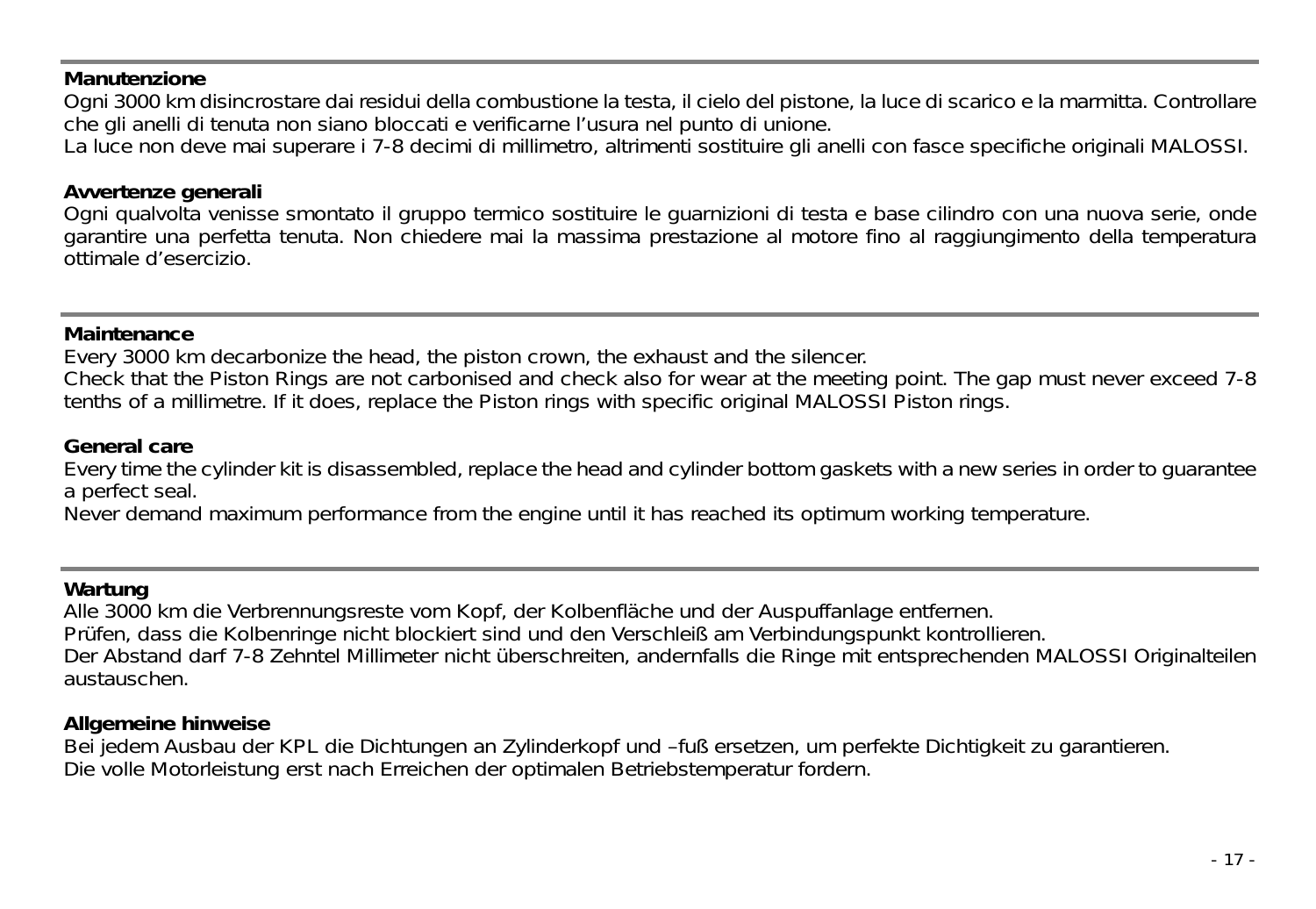#### **Manutenzione**

Ogni 3000 km disincrostare dai residui della combustione la testa, il cielo del pistone, la luce di scarico e la marmitta. Controllare che gli anelli di tenuta non siano bloccati e verificarne l'usura nel punto di unione.

La luce non deve mai superare i 7-8 decimi di millimetro, altrimenti sostituire gli anelli con fasce specifiche originali MALOSSI.

#### **Avvertenze generali**

Ogni qualvolta venisse smontato il gruppo termico sostituire le guarnizioni di testa e base cilindro con una nuova serie, onde garantire una perfetta tenuta. Non chiedere mai la massima prestazione al motore fino al raggiungimento della temperatura ottimale d'esercizio.

#### **Maintenance**

Every 3000 km decarbonize the head, the piston crown, the exhaust and the silencer.

Check that the Piston Rings are not carbonised and check also for wear at the meeting point. The gap must never exceed 7-8 tenths of a millimetre. If it does, replace the Piston rings with specific original MALOSSI Piston rings.

#### **General care**

Every time the cylinder kit is disassembled, replace the head and cylinder bottom gaskets with a new series in order to guarantee a perfect seal.

Never demand maximum performance from the engine until it has reached its optimum working temperature.

#### **Wartung**

Alle 3000 km die Verbrennungsreste vom Kopf, der Kolbenfläche und der Auspuffanlage entfernen. Prüfen, dass die Kolbenringe nicht blockiert sind und den Verschleiß am Verbindungspunkt kontrollieren. Der Abstand darf 7-8 Zehntel Millimeter nicht überschreiten, andernfalls die Ringe mit entsprechenden MALOSSI Originalteilen austauschen.

#### **Allgemeine hinweise**

Bei jedem Ausbau der KPL die Dichtungen an Zylinderkopf und –fuß ersetzen, um perfekte Dichtigkeit zu garantieren. Die volle Motorleistung erst nach Erreichen der optimalen Betriebstemperatur fordern.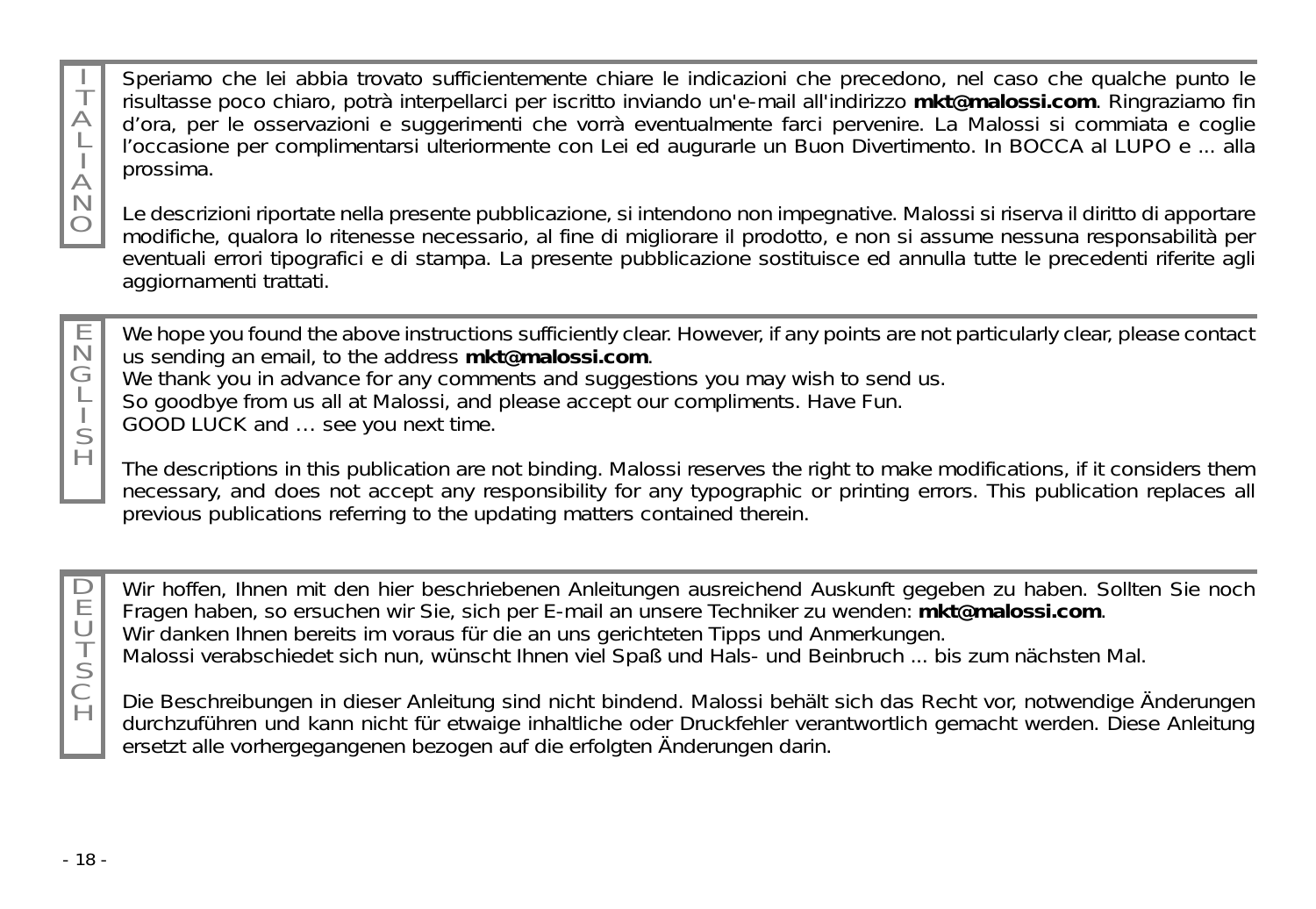Speriamo che lei abbia trovato sufficientemente chiare le indicazioni che precedono, nel caso che qualche punto le risultasse poco chiaro, potrà interpellarci per iscritto inviando un'e-mail all'indirizzo **mkt@malossi.com**. Ringraziamo fin d'ora, per le osservazioni e suggerimenti che vorrà eventualmente farci pervenire. La Malossi si commiata e coglie l'occasione per complimentarsi ulteriormente con Lei ed augurarle un Buon Divertimento. In BOCCA al LUPO e ... alla prossima.

Le descrizioni riportate nella presente pubblicazione, si intendono non impegnative. Malossi si riserva il diritto di apportare modifiche, qualora lo ritenesse necessario, al fine di migliorare il prodotto, e non si assume nessuna responsabilità per eventuali errori tipografici e di stampa. La presente pubblicazione sostituisce ed annulla tutte le precedenti riferite agli aggiornamenti trattati.

E N G L I S H

T  $\triangle$ L  $\forall$ N O

> We hope you found the above instructions sufficiently clear. However, if any points are not particularly clear, please contact us sending an email, to the address **mkt@malossi.com**.

We thank you in advance for any comments and suggestions you may wish to send us.

So goodbye from us all at Malossi, and please accept our compliments. Have Fun.

GOOD LUCK and … see you next time.

The descriptions in this publication are not binding. Malossi reserves the right to make modifications, if it considers them necessary, and does not accept any responsibility for any typographic or printing errors. This publication replaces all previous publications referring to the updating matters contained therein.

 $\Box$ E U T S C H

Wir hoffen, Ihnen mit den hier beschriebenen Anleitungen ausreichend Auskunft gegeben zu haben. Sollten Sie noch Fragen haben, so ersuchen wir Sie, sich per E-mail an unsere Techniker zu wenden: **mkt@malossi.com**.

Wir danken Ihnen bereits im voraus für die an uns gerichteten Tipps und Anmerkungen.

Malossi verabschiedet sich nun, wünscht Ihnen viel Spaß und Hals- und Beinbruch ... bis zum nächsten Mal.

Die Beschreibungen in dieser Anleitung sind nicht bindend. Malossi behält sich das Recht vor, notwendige Änderungen durchzuführen und kann nicht für etwaige inhaltliche oder Druckfehler verantwortlich gemacht werden. Diese Anleitung ersetzt alle vorhergegangenen bezogen auf die erfolgten Änderungen darin.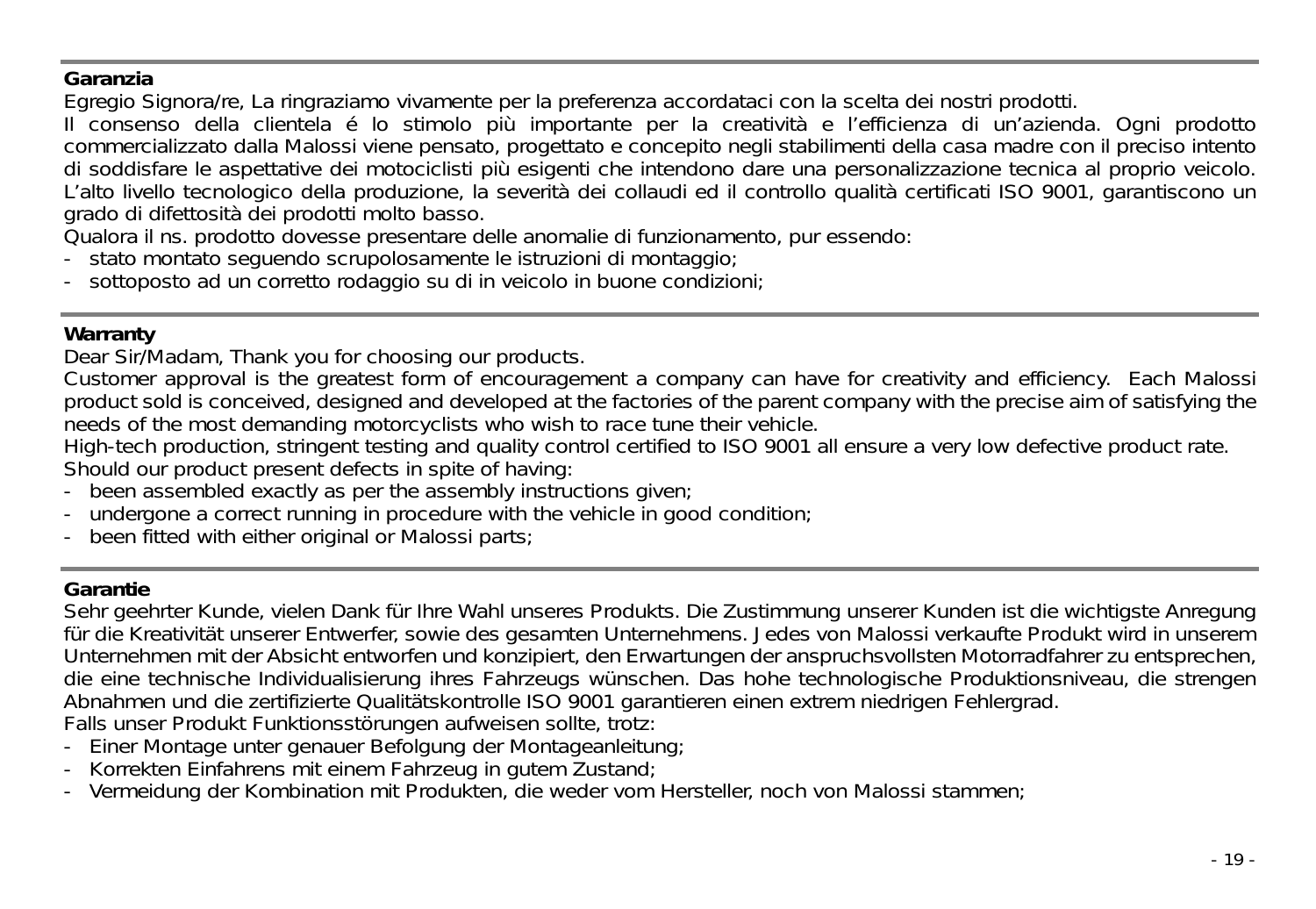#### **Garanzia**

Egregio Signora/re, La ringraziamo vivamente per la preferenza accordataci con la scelta dei nostri prodotti.

Il consenso della clientela é lo stimolo più importante per la creatività e l'efficienza di un'azienda. Ogni prodotto commercializzato dalla Malossi viene pensato, progettato e concepito negli stabilimenti della casa madre con il preciso intento di soddisfare le aspettative dei motociclisti più esigenti che intendono dare una personalizzazione tecnica al proprio veicolo. L'alto livello tecnologico della produzione, la severità dei collaudi ed il controllo qualità certificati ISO 9001, garantiscono un grado di difettosità dei prodotti molto basso.

Qualora il ns. prodotto dovesse presentare delle anomalie di funzionamento, pur essendo:

- stato montato seguendo scrupolosamente le istruzioni di montaggio;
- sottoposto ad un corretto rodaggio su di in veicolo in buone condizioni:

#### **Warranty**

Dear Sir/Madam, Thank you for choosing our products.

Customer approval is the greatest form of encouragement a company can have for creativity and efficiency. Each Malossi product sold is conceived, designed and developed at the factories of the parent company with the precise aim of satisfying the needs of the most demanding motorcyclists who wish to race tune their vehicle.

High-tech production, stringent testing and quality control certified to ISO 9001 all ensure a very low defective product rate.

Should our product present defects in spite of having:

- been assembled exactly as per the assembly instructions given;
- undergone a correct running in procedure with the vehicle in good condition;
- been fitted with either original or Malossi parts;

#### **Garantie**

Sehr geehrter Kunde, vielen Dank für Ihre Wahl unseres Produkts. Die Zustimmung unserer Kunden ist die wichtigste Anregung für die Kreativität unserer Entwerfer, sowie des gesamten Unternehmens. Jedes von Malossi verkaufte Produkt wird in unserem Unternehmen mit der Absicht entworfen und konzipiert, den Erwartungen der anspruchsvollsten Motorradfahrer zu entsprechen, die eine technische Individualisierung ihres Fahrzeugs wünschen. Das hohe technologische Produktionsniveau, die strengen Abnahmen und die zertifizierte Qualitätskontrolle ISO 9001 garantieren einen extrem niedrigen Fehlergrad. Falls unser Produkt Funktionsstörungen aufweisen sollte, trotz:

- -Einer Montage unter genauer Befolgung der Montageanleitung;
- -Korrekten Einfahrens mit einem Fahrzeug in gutem Zustand;
- Vermeidung der Kombination mit Produkten, die weder vom Hersteller, noch von Malossi stammen;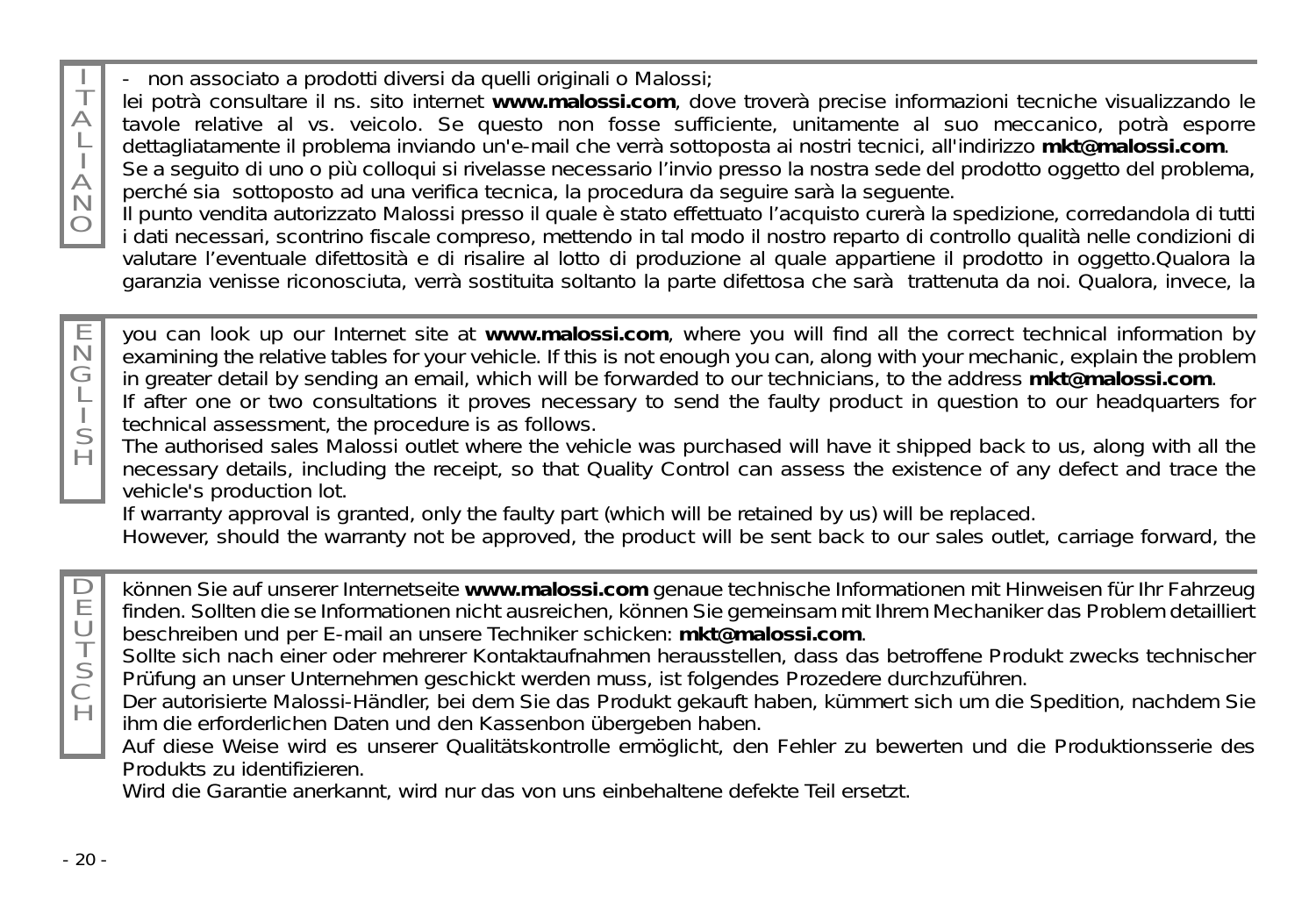T - non associato a prodotti diversi da quelli originali o Malossi;

lei potrà consultare il ns. sito internet **www.malossi.com**, dove troverà precise informazioni tecniche visualizzando le tavole relative al vs. veicolo. Se questo non fosse sufficiente, unitamente al suo meccanico, potrà esporre dettagliatamente il problema inviando un'e-mail che verrà sottoposta ai nostri tecnici, all'indirizzo **mkt@malossi.com**.

Se a seguito di uno o più colloqui si rivelasse necessario l'invio presso la nostra sede del prodotto oggetto del problema, perché sia sottoposto ad una verifica tecnica, la procedura da seguire sarà la seguente.

Il punto vendita autorizzato Malossi presso il quale è stato effettuato l'acquisto curerà la spedizione, corredandola di tutti i dati necessari, scontrino fiscale compreso, mettendo in tal modo il nostro reparto di controllo qualità nelle condizioni di valutare l'eventuale difettosità e di risalire al lotto di produzione al quale appartiene il prodotto in oggetto.Qualora la garanzia venisse riconosciuta, verrà sostituita soltanto la parte difettosa che sarà trattenuta da noi. Qualora, invece, la

N G you can look up our Internet site at **www.malossi.com**, where you will find all the correct technical information by examining the relative tables for your vehicle. If this is not enough you can, along with your mechanic, explain the problem in greater detail by sending an email, which will be forwarded to our technicians, to the address **mkt@malossi.com**.

If after one or two consultations it proves necessary to send the faulty product in question to our headquarters for technical assessment, the procedure is as follows.

The authorised sales Malossi outlet where the vehicle was purchased will have it shipped back to us, along with all the necessary details, including the receipt, so that Quality Control can assess the existence of any defect and trace the vehicle's production lot.

If warranty approval is granted, only the faulty part (which will be retained by us) will be replaced.

However, should the warranty not be approved, the product will be sent back to our sales outlet, carriage forward, the

 $\Box$ E  $\cup$ T können Sie auf unserer Internetseite **www.malossi.com** genaue technische Informationen mit Hinweisen für Ihr Fahrzeug finden. Sollten die se Informationen nicht ausreichen, können Sie gemeinsam mit Ihrem Mechaniker das Problem detailliert beschreiben und per E-mail an unsere Techniker schicken: **mkt@malossi.com**.

Sollte sich nach einer oder mehrerer Kontaktaufnahmen herausstellen, dass das betroffene Produkt zwecks technischer Prüfung an unser Unternehmen geschickt werden muss, ist folgendes Prozedere durchzuführen.

Der autorisierte Malossi-Händler, bei dem Sie das Produkt gekauft haben, kümmert sich um die Spedition, nachdem Sie ihm die erforderlichen Daten und den Kassenbon übergeben haben.

Auf diese Weise wird es unserer Qualitätskontrolle ermöglicht, den Fehler zu bewerten und die Produktionsserie des Produkts zu identifizieren.

Wird die Garantie anerkannt, wird nur das von uns einbehaltene defekte Teil ersetzt.

S C  $\breve{H}$ 

 $\triangle$ L  $\forall$ N O

E

L S H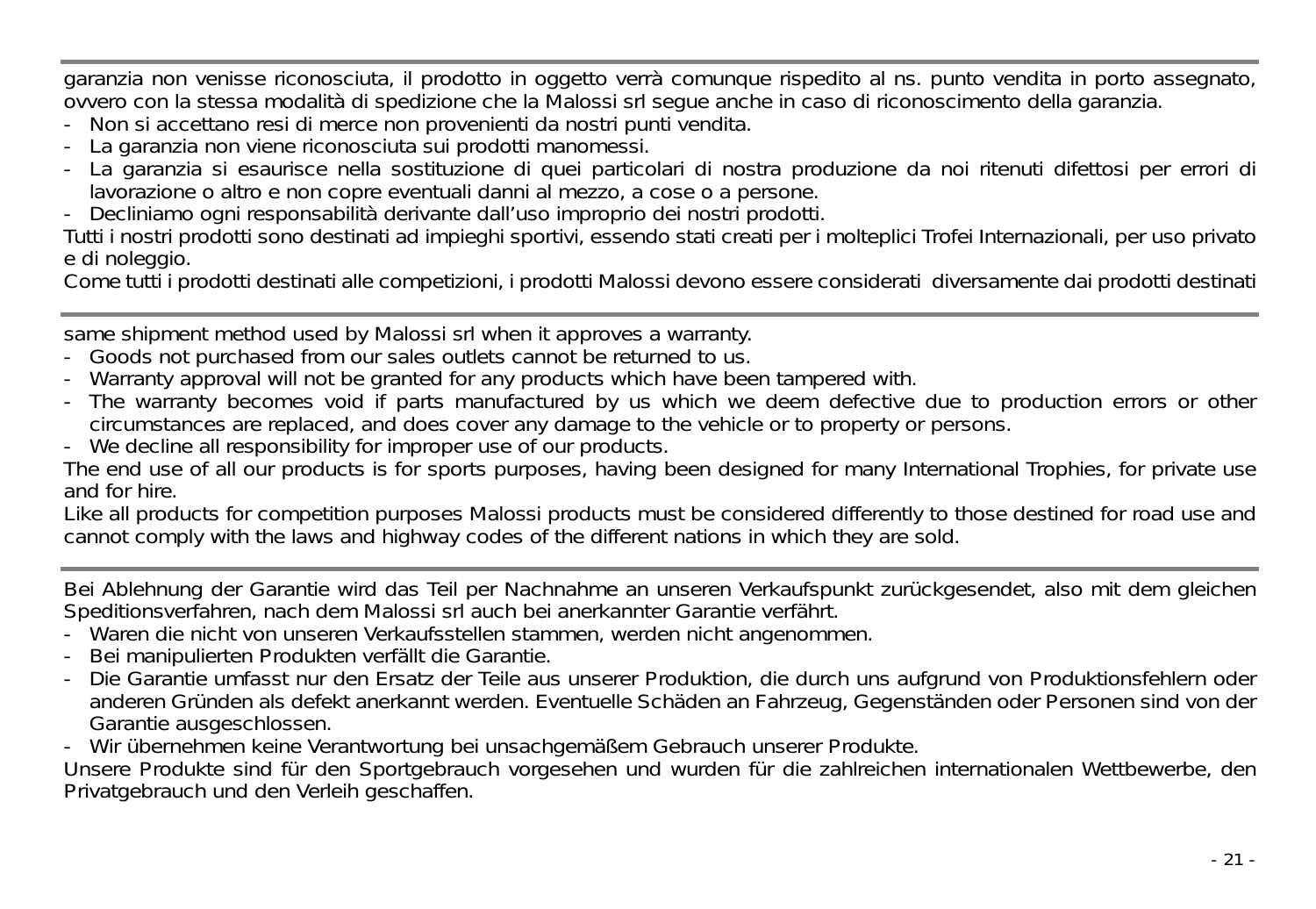garanzia non venisse riconosciuta, il prodotto in oggetto verrà comunque rispedito al ns. punto vendita in porto assegnato, ovvero con la stessa modalità di spedizione che la Malossi srl segue anche in caso di riconoscimento della garanzia.

- Non si accettano resi di merce non provenienti da nostri punti vendita.
- La garanzia non viene riconosciuta sui prodotti manomessi.
- La garanzia si esaurisce nella sostituzione di quei particolari di nostra produzione da noi ritenuti difettosi per errori di lavorazione o altro e non copre eventuali danni al mezzo, a cose o a persone.
- Decliniamo ogni responsabilità derivante dall'uso improprio dei nostri prodotti.

Tutti i nostri prodotti sono destinati ad impieghi sportivi, essendo stati creati per i molteplici Trofei Internazionali, per uso privato e di noleggio.

Come tutti i prodotti destinati alle competizioni, i prodotti Malossi devono essere considerati diversamente dai prodotti destinati

same shipment method used by Malossi srl when it approves a warranty.

- Goods not purchased from our sales outlets cannot be returned to us.
- -Warranty approval will not be granted for any products which have been tampered with.
- The warranty becomes void if parts manufactured by us which we deem defective due to production errors or other circumstances are replaced, and does cover any damage to the vehicle or to property or persons.
- We decline all responsibility for improper use of our products.

The end use of all our products is for sports purposes, having been designed for many International Trophies, for private use and for hire.

Like all products for competition purposes Malossi products must be considered differently to those destined for road use and cannot comply with the laws and highway codes of the different nations in which they are sold.

Bei Ablehnung der Garantie wird das Teil per Nachnahme an unseren Verkaufspunkt zurückgesendet, also mit dem gleichen Speditionsverfahren, nach dem Malossi srl auch bei anerkannter Garantie verfährt.

- Waren die nicht von unseren Verkaufsstellen stammen, werden nicht angenommen.
- Bei manipulierten Produkten verfällt die Garantie.
- Die Garantie umfasst nur den Ersatz der Teile aus unserer Produktion, die durch uns aufgrund von Produktionsfehlern oder anderen Gründen als defekt anerkannt werden. Eventuelle Schäden an Fahrzeug, Gegenständen oder Personen sind von der Garantie ausgeschlossen.
- Wir übernehmen keine Verantwortung bei unsachgemäßem Gebrauch unserer Produkte.

Unsere Produkte sind für den Sportgebrauch vorgesehen und wurden für die zahlreichen internationalen Wettbewerbe, den Privatgebrauch und den Verleih geschaffen.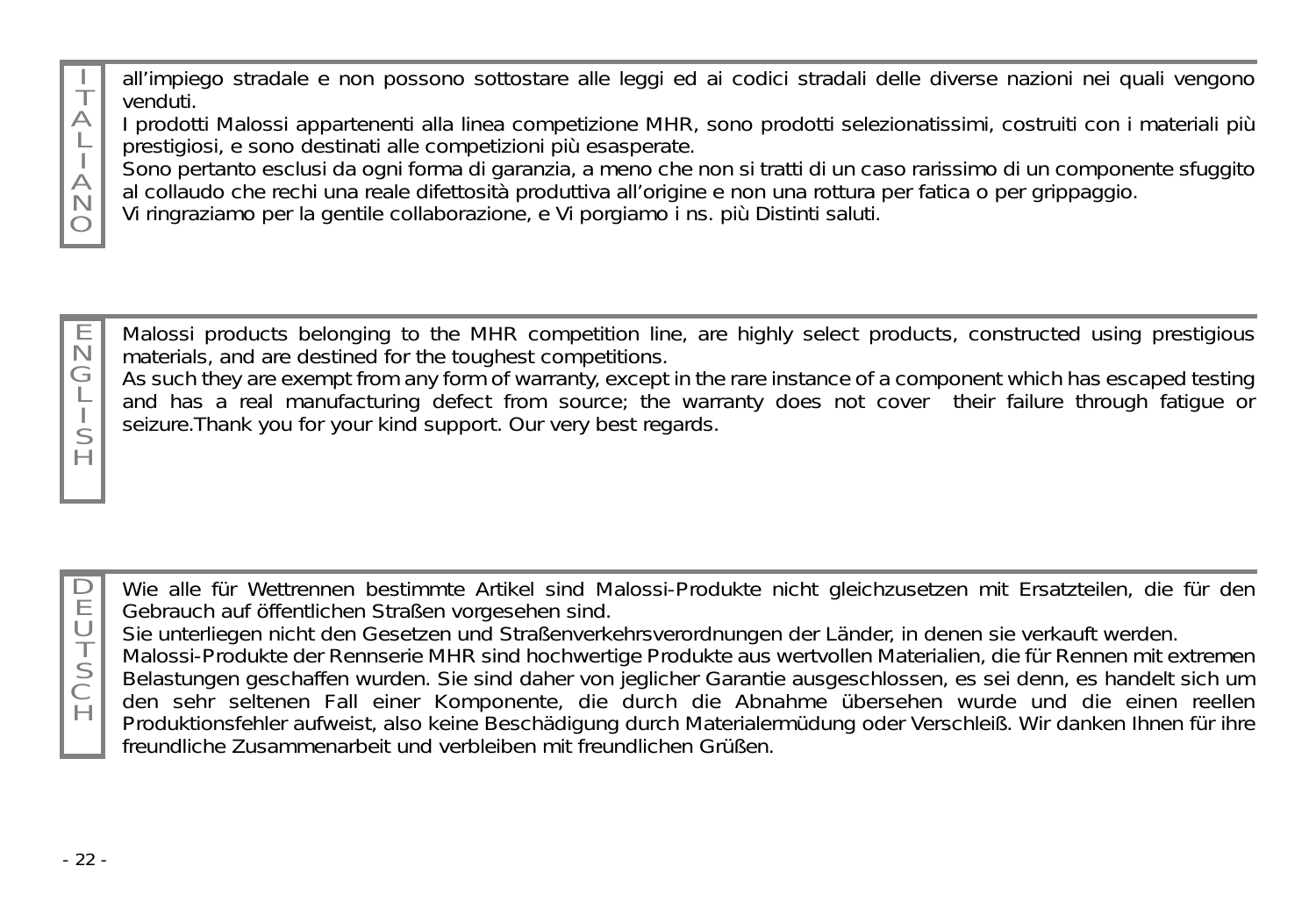T  $\triangle$ all'impiego stradale e non possono sottostare alle leggi ed ai codici stradali delle diverse nazioni nei quali vengono venduti.

I prodotti Malossi appartenenti alla linea competizione MHR, sono prodotti selezionatissimi, costruiti con i materiali più prestigiosi, e sono destinati alle competizioni più esasperate.

Sono pertanto esclusi da ogni forma di garanzia, a meno che non si tratti di un caso rarissimo di un componente sfuggito al collaudo che rechi una reale difettosità produttiva all'origine e non una rottura per fatica o per grippaggio.

Vi ringraziamo per la gentile collaborazione, e Vi porgiamo i ns. più Distinti saluti.

E N G Malossi products belonging to the MHR competition line, are highly select products, constructed using prestigious materials, and are destined for the toughest competitions.

As such they are exempt from any form of warranty, except in the rare instance of a component which has escaped testing and has a real manufacturing defect from source; the warranty does not cover their failure through fatigue or seizure.Thank you for your kind support. Our very best regards.

 $\Box$ E  $\cup$ Wie alle für Wettrennen bestimmte Artikel sind Malossi-Produkte nicht gleichzusetzen mit Ersatzteilen, die für den Gebrauch auf öffentlichen Straßen vorgesehen sind.

Sie unterliegen nicht den Gesetzen und Straßenverkehrsverordnungen der Länder, in denen sie verkauft werden.

Malossi-Produkte der Rennserie MHR sind hochwertige Produkte aus wertvollen Materialien, die für Rennen mit extremen Belastungen geschaffen wurden. Sie sind daher von jeglicher Garantie ausgeschlossen, es sei denn, es handelt sich um den sehr seltenen Fall einer Komponente, die durch die Abnahme übersehen wurde und die einen reellen Produktionsfehler aufweist, also keine Beschädigung durch Materialermüdung oder Verschleiß. Wir danken Ihnen für ihre freundliche Zusammenarbeit und verbleiben mit freundlichen Grüßen.

T S C  $\overline{H}$ 

L  $\forall$ N  $\bigcap$ 

> L S H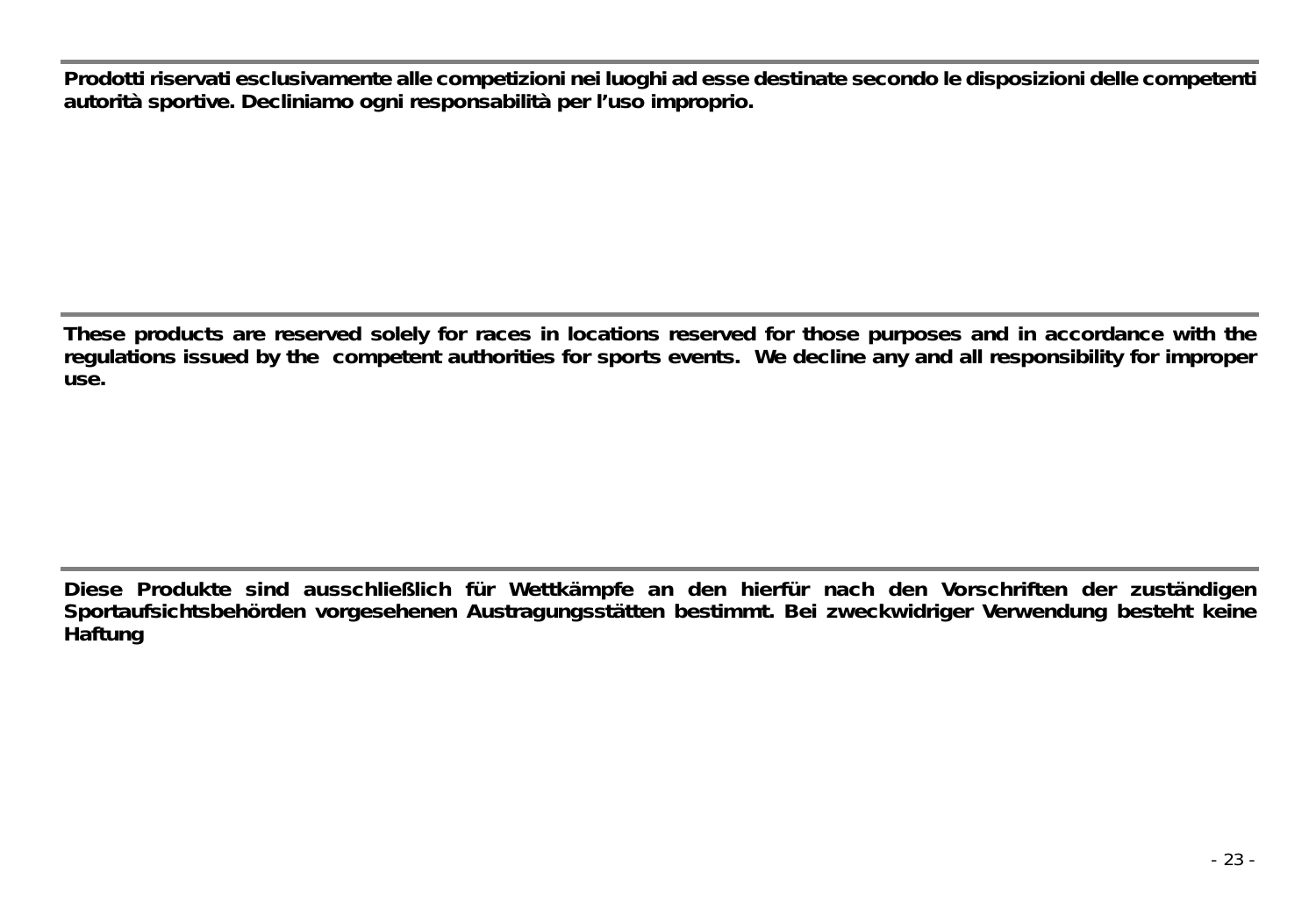**Prodotti riservati esclusivamente alle competizioni nei luoghi ad esse destinate secondo le disposizioni delle competenti autorità sportive. Decliniamo ogni responsabilità per l'uso improprio.**

**These products are reserved solely for races in locations reserved for those purposes and in accordance with the regulations issued by the competent authorities for sports events. We decline any and all responsibility for improper use.**

**Diese Produkte sind ausschließlich für Wettkämpfe an den hierfür nach den Vorschriften der zuständigen Sportaufsichtsbehörden vorgesehenen Austragungsstätten bestimmt. Bei zweckwidriger Verwendung besteht keine Haftung**